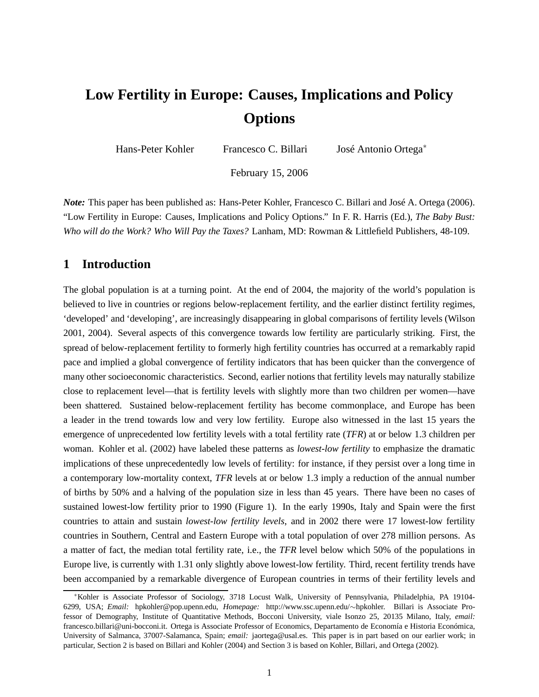# **Low Fertility in Europe: Causes, Implications and Policy Options**

Hans-Peter Kohler Francesco C. Billari José Antonio Ortega<sup>∗</sup>

February 15, 2006

*Note:* This paper has been published as: Hans-Peter Kohler, Francesco C. Billari and José A. Ortega (2006). "Low Fertility in Europe: Causes, Implications and Policy Options." In F. R. Harris (Ed.), *The Baby Bust: Who will do the Work? Who Will Pay the Taxes?* Lanham, MD: Rowman & Littlefield Publishers, 48-109.

### **1 Introduction**

The global population is at a turning point. At the end of 2004, the majority of the world's population is believed to live in countries or regions below-replacement fertility, and the earlier distinct fertility regimes, 'developed' and 'developing', are increasingly disappearing in global comparisons of fertility levels (Wilson 2001, 2004). Several aspects of this convergence towards low fertility are particularly striking. First, the spread of below-replacement fertility to formerly high fertility countries has occurred at a remarkably rapid pace and implied a global convergence of fertility indicators that has been quicker than the convergence of many other socioeconomic characteristics. Second, earlier notions that fertility levels may naturally stabilize close to replacement level—that is fertility levels with slightly more than two children per women—have been shattered. Sustained below-replacement fertility has become commonplace, and Europe has been a leader in the trend towards low and very low fertility. Europe also witnessed in the last 15 years the emergence of unprecedented low fertility levels with a total fertility rate (*TFR*) at or below 1.3 children per woman. Kohler et al. (2002) have labeled these patterns as *lowest-low fertility* to emphasize the dramatic implications of these unprecedentedly low levels of fertility: for instance, if they persist over a long time in a contemporary low-mortality context, *TFR* levels at or below 1.3 imply a reduction of the annual number of births by 50% and a halving of the population size in less than 45 years. There have been no cases of sustained lowest-low fertility prior to 1990 (Figure 1). In the early 1990s, Italy and Spain were the first countries to attain and sustain *lowest-low fertility levels*, and in 2002 there were 17 lowest-low fertility countries in Southern, Central and Eastern Europe with a total population of over 278 million persons. As a matter of fact, the median total fertility rate, i.e., the *TFR* level below which 50% of the populations in Europe live, is currently with 1.31 only slightly above lowest-low fertility. Third, recent fertility trends have been accompanied by a remarkable divergence of European countries in terms of their fertility levels and

<sup>∗</sup>Kohler is Associate Professor of Sociology, 3718 Locust Walk, University of Pennsylvania, Philadelphia, PA 19104- 6299, USA; *Email:* hpkohler@pop.upenn.edu, *Homepage:* http://www.ssc.upenn.edu/∼hpkohler. Billari is Associate Professor of Demography, Institute of Quantitative Methods, Bocconi University, viale Isonzo 25, 20135 Milano, Italy, *email:* francesco.billari@uni-bocconi.it. Ortega is Associate Professor of Economics, Departamento de Economía e Historia Económica, University of Salmanca, 37007-Salamanca, Spain; *email:* jaortega@usal.es. This paper is in part based on our earlier work; in particular, Section 2 is based on Billari and Kohler (2004) and Section 3 is based on Kohler, Billari, and Ortega (2002).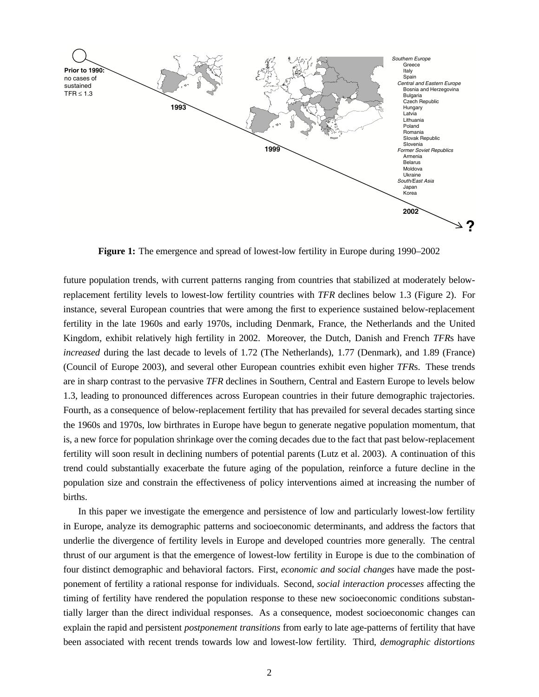

**Figure 1:** The emergence and spread of lowest-low fertility in Europe during 1990–2002

future population trends, with current patterns ranging from countries that stabilized at moderately belowreplacement fertility levels to lowest-low fertility countries with *TFR* declines below 1.3 (Figure 2). For instance, several European countries that were among the first to experience sustained below-replacement fertility in the late 1960s and early 1970s, including Denmark, France, the Netherlands and the United Kingdom, exhibit relatively high fertility in 2002. Moreover, the Dutch, Danish and French *TFR*s have *increased* during the last decade to levels of 1.72 (The Netherlands), 1.77 (Denmark), and 1.89 (France) (Council of Europe 2003), and several other European countries exhibit even higher *TFR*s. These trends are in sharp contrast to the pervasive *TFR* declines in Southern, Central and Eastern Europe to levels below 1.3, leading to pronounced differences across European countries in their future demographic trajectories. Fourth, as a consequence of below-replacement fertility that has prevailed for several decades starting since the 1960s and 1970s, low birthrates in Europe have begun to generate negative population momentum, that is, a new force for population shrinkage over the coming decades due to the fact that past below-replacement fertility will soon result in declining numbers of potential parents (Lutz et al. 2003). A continuation of this trend could substantially exacerbate the future aging of the population, reinforce a future decline in the population size and constrain the effectiveness of policy interventions aimed at increasing the number of births.

In this paper we investigate the emergence and persistence of low and particularly lowest-low fertility in Europe, analyze its demographic patterns and socioeconomic determinants, and address the factors that underlie the divergence of fertility levels in Europe and developed countries more generally. The central thrust of our argument is that the emergence of lowest-low fertility in Europe is due to the combination of four distinct demographic and behavioral factors. First, *economic and social changes* have made the postponement of fertility a rational response for individuals. Second, *social interaction processes* affecting the timing of fertility have rendered the population response to these new socioeconomic conditions substantially larger than the direct individual responses. As a consequence, modest socioeconomic changes can explain the rapid and persistent *postponement transitions* from early to late age-patterns of fertility that have been associated with recent trends towards low and lowest-low fertility. Third, *demographic distortions*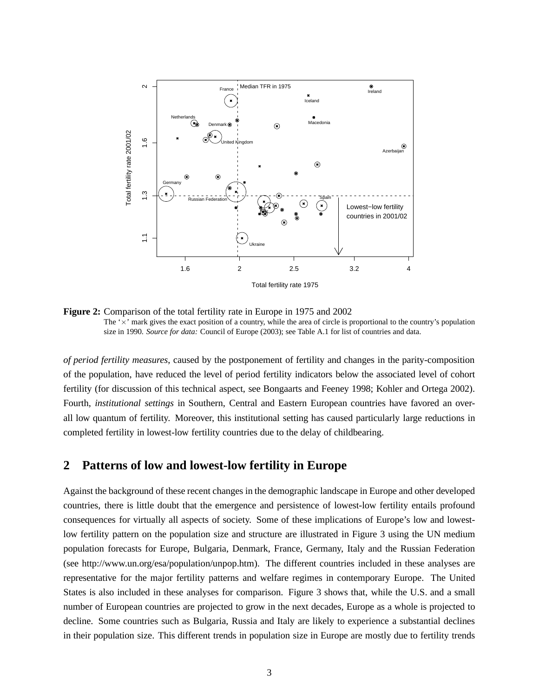

**Figure 2:** Comparison of the total fertility rate in Europe in 1975 and 2002 The  $\overline{X}$  mark gives the exact position of a country, while the area of circle is proportional to the country's population size in 1990. *Source for data:* Council of Europe (2003); see Table A.1 for list of countries and data.

*of period fertility measures*, caused by the postponement of fertility and changes in the parity-composition of the population, have reduced the level of period fertility indicators below the associated level of cohort fertility (for discussion of this technical aspect, see Bongaarts and Feeney 1998; Kohler and Ortega 2002). Fourth, *institutional settings* in Southern, Central and Eastern European countries have favored an overall low quantum of fertility. Moreover, this institutional setting has caused particularly large reductions in completed fertility in lowest-low fertility countries due to the delay of childbearing.

### **2 Patterns of low and lowest-low fertility in Europe**

Against the background of these recent changes in the demographic landscape in Europe and other developed countries, there is little doubt that the emergence and persistence of lowest-low fertility entails profound consequences for virtually all aspects of society. Some of these implications of Europe's low and lowestlow fertility pattern on the population size and structure are illustrated in Figure 3 using the UN medium population forecasts for Europe, Bulgaria, Denmark, France, Germany, Italy and the Russian Federation (see http://www.un.org/esa/population/unpop.htm). The different countries included in these analyses are representative for the major fertility patterns and welfare regimes in contemporary Europe. The United States is also included in these analyses for comparison. Figure 3 shows that, while the U.S. and a small number of European countries are projected to grow in the next decades, Europe as a whole is projected to decline. Some countries such as Bulgaria, Russia and Italy are likely to experience a substantial declines in their population size. This different trends in population size in Europe are mostly due to fertility trends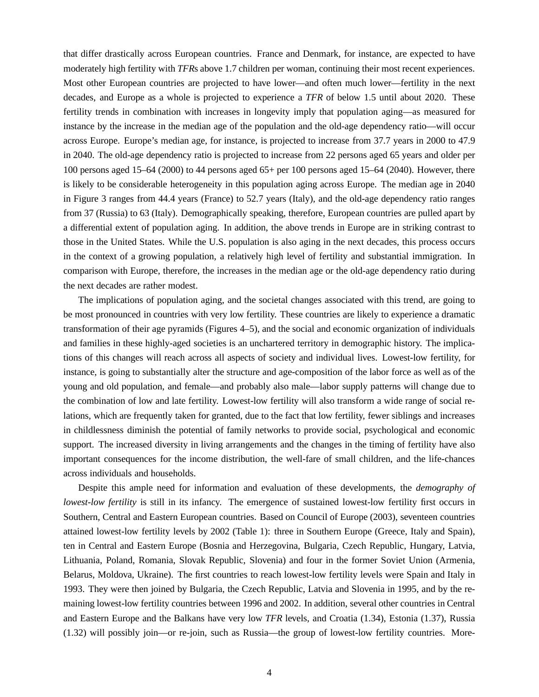that differ drastically across European countries. France and Denmark, for instance, are expected to have moderately high fertility with *TFR*s above 1.7 children per woman, continuing their most recent experiences. Most other European countries are projected to have lower—and often much lower—fertility in the next decades, and Europe as a whole is projected to experience a *TFR* of below 1.5 until about 2020. These fertility trends in combination with increases in longevity imply that population aging—as measured for instance by the increase in the median age of the population and the old-age dependency ratio—will occur across Europe. Europe's median age, for instance, is projected to increase from 37.7 years in 2000 to 47.9 in 2040. The old-age dependency ratio is projected to increase from 22 persons aged 65 years and older per 100 persons aged 15–64 (2000) to 44 persons aged 65+ per 100 persons aged 15–64 (2040). However, there is likely to be considerable heterogeneity in this population aging across Europe. The median age in 2040 in Figure 3 ranges from 44.4 years (France) to 52.7 years (Italy), and the old-age dependency ratio ranges from 37 (Russia) to 63 (Italy). Demographically speaking, therefore, European countries are pulled apart by a differential extent of population aging. In addition, the above trends in Europe are in striking contrast to those in the United States. While the U.S. population is also aging in the next decades, this process occurs in the context of a growing population, a relatively high level of fertility and substantial immigration. In comparison with Europe, therefore, the increases in the median age or the old-age dependency ratio during the next decades are rather modest.

The implications of population aging, and the societal changes associated with this trend, are going to be most pronounced in countries with very low fertility. These countries are likely to experience a dramatic transformation of their age pyramids (Figures 4–5), and the social and economic organization of individuals and families in these highly-aged societies is an unchartered territory in demographic history. The implications of this changes will reach across all aspects of society and individual lives. Lowest-low fertility, for instance, is going to substantially alter the structure and age-composition of the labor force as well as of the young and old population, and female—and probably also male—labor supply patterns will change due to the combination of low and late fertility. Lowest-low fertility will also transform a wide range of social relations, which are frequently taken for granted, due to the fact that low fertility, fewer siblings and increases in childlessness diminish the potential of family networks to provide social, psychological and economic support. The increased diversity in living arrangements and the changes in the timing of fertility have also important consequences for the income distribution, the well-fare of small children, and the life-chances across individuals and households.

Despite this ample need for information and evaluation of these developments, the *demography of lowest-low fertility* is still in its infancy. The emergence of sustained lowest-low fertility first occurs in Southern, Central and Eastern European countries. Based on Council of Europe (2003), seventeen countries attained lowest-low fertility levels by 2002 (Table 1): three in Southern Europe (Greece, Italy and Spain), ten in Central and Eastern Europe (Bosnia and Herzegovina, Bulgaria, Czech Republic, Hungary, Latvia, Lithuania, Poland, Romania, Slovak Republic, Slovenia) and four in the former Soviet Union (Armenia, Belarus, Moldova, Ukraine). The first countries to reach lowest-low fertility levels were Spain and Italy in 1993. They were then joined by Bulgaria, the Czech Republic, Latvia and Slovenia in 1995, and by the remaining lowest-low fertility countries between 1996 and 2002. In addition, several other countries in Central and Eastern Europe and the Balkans have very low *TFR* levels, and Croatia (1.34), Estonia (1.37), Russia (1.32) will possibly join—or re-join, such as Russia—the group of lowest-low fertility countries. More-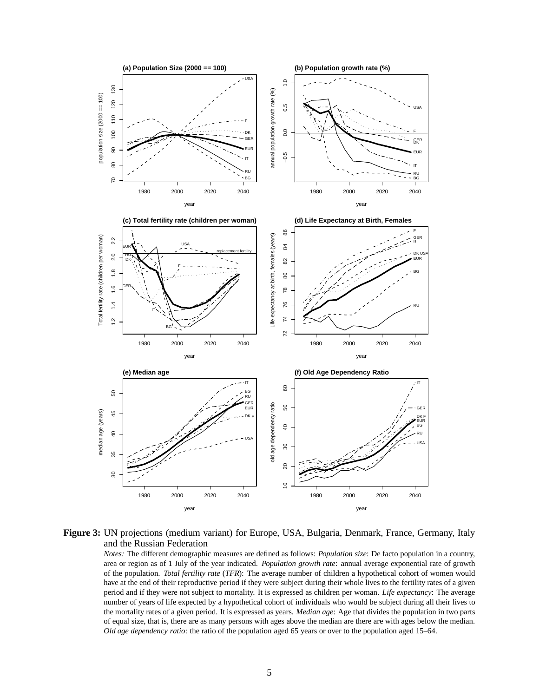

**Figure 3:** UN projections (medium variant) for Europe, USA, Bulgaria, Denmark, France, Germany, Italy and the Russian Federation

*Notes:* The different demographic measures are defined as follows: *Population size*: De facto population in a country, area or region as of 1 July of the year indicated. *Population growth rate*: annual average exponential rate of growth of the population. *Total fertility rate* (*TFR*): The average number of children a hypothetical cohort of women would have at the end of their reproductive period if they were subject during their whole lives to the fertility rates of a given period and if they were not subject to mortality. It is expressed as children per woman. *Life expectancy*: The average number of years of life expected by a hypothetical cohort of individuals who would be subject during all their lives to the mortality rates of a given period. It is expressed as years. *Median age*: Age that divides the population in two parts of equal size, that is, there are as many persons with ages above the median are there are with ages below the median. *Old age dependency ratio*: the ratio of the population aged 65 years or over to the population aged 15–64.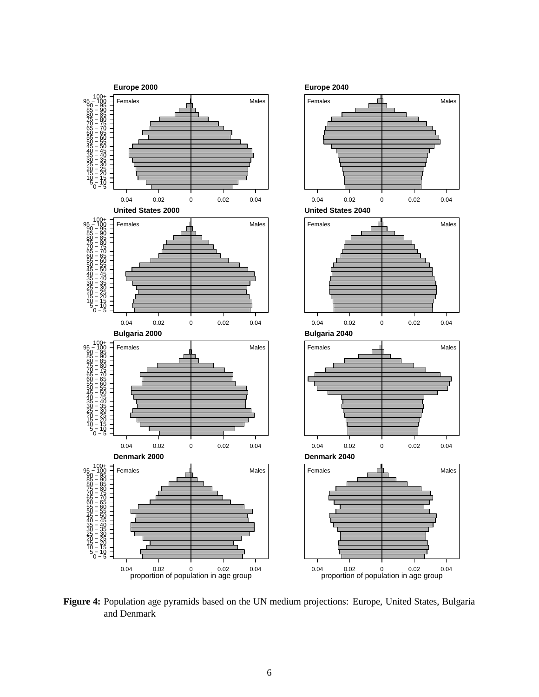

**Figure 4:** Population age pyramids based on the UN medium projections: Europe, United States, Bulgaria and Denmark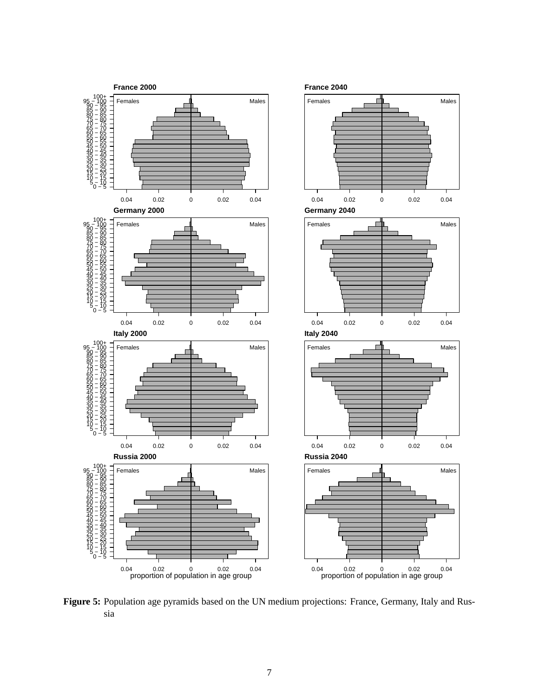

**Figure 5:** Population age pyramids based on the UN medium projections: France, Germany, Italy and Russia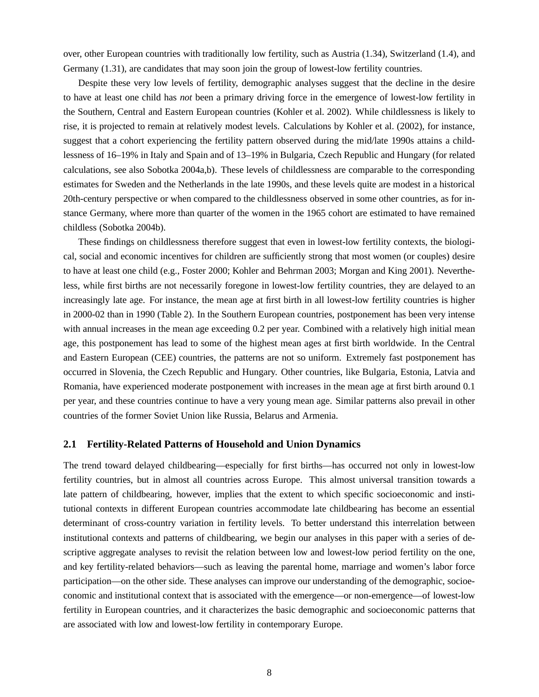over, other European countries with traditionally low fertility, such as Austria (1.34), Switzerland (1.4), and Germany (1.31), are candidates that may soon join the group of lowest-low fertility countries.

Despite these very low levels of fertility, demographic analyses suggest that the decline in the desire to have at least one child has *not* been a primary driving force in the emergence of lowest-low fertility in the Southern, Central and Eastern European countries (Kohler et al. 2002). While childlessness is likely to rise, it is projected to remain at relatively modest levels. Calculations by Kohler et al. (2002), for instance, suggest that a cohort experiencing the fertility pattern observed during the mid/late 1990s attains a childlessness of 16–19% in Italy and Spain and of 13–19% in Bulgaria, Czech Republic and Hungary (for related calculations, see also Sobotka 2004a,b). These levels of childlessness are comparable to the corresponding estimates for Sweden and the Netherlands in the late 1990s, and these levels quite are modest in a historical 20th-century perspective or when compared to the childlessness observed in some other countries, as for instance Germany, where more than quarter of the women in the 1965 cohort are estimated to have remained childless (Sobotka 2004b).

These findings on childlessness therefore suggest that even in lowest-low fertility contexts, the biological, social and economic incentives for children are sufficiently strong that most women (or couples) desire to have at least one child (e.g., Foster 2000; Kohler and Behrman 2003; Morgan and King 2001). Nevertheless, while first births are not necessarily foregone in lowest-low fertility countries, they are delayed to an increasingly late age. For instance, the mean age at first birth in all lowest-low fertility countries is higher in 2000-02 than in 1990 (Table 2). In the Southern European countries, postponement has been very intense with annual increases in the mean age exceeding 0.2 per year. Combined with a relatively high initial mean age, this postponement has lead to some of the highest mean ages at first birth worldwide. In the Central and Eastern European (CEE) countries, the patterns are not so uniform. Extremely fast postponement has occurred in Slovenia, the Czech Republic and Hungary. Other countries, like Bulgaria, Estonia, Latvia and Romania, have experienced moderate postponement with increases in the mean age at first birth around 0.1 per year, and these countries continue to have a very young mean age. Similar patterns also prevail in other countries of the former Soviet Union like Russia, Belarus and Armenia.

#### **2.1 Fertility-Related Patterns of Household and Union Dynamics**

The trend toward delayed childbearing—especially for first births—has occurred not only in lowest-low fertility countries, but in almost all countries across Europe. This almost universal transition towards a late pattern of childbearing, however, implies that the extent to which specific socioeconomic and institutional contexts in different European countries accommodate late childbearing has become an essential determinant of cross-country variation in fertility levels. To better understand this interrelation between institutional contexts and patterns of childbearing, we begin our analyses in this paper with a series of descriptive aggregate analyses to revisit the relation between low and lowest-low period fertility on the one, and key fertility-related behaviors—such as leaving the parental home, marriage and women's labor force participation—on the other side. These analyses can improve our understanding of the demographic, socioeconomic and institutional context that is associated with the emergence—or non-emergence—of lowest-low fertility in European countries, and it characterizes the basic demographic and socioeconomic patterns that are associated with low and lowest-low fertility in contemporary Europe.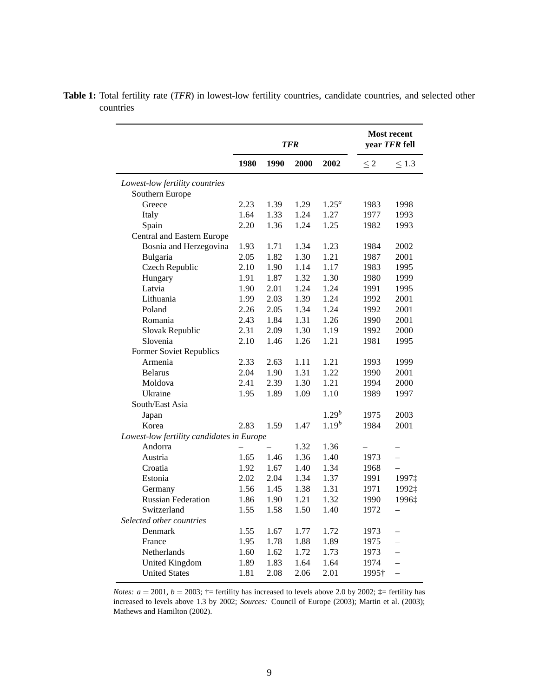|                                           |      |      | <b>TFR</b> |            |          | <b>Most recent</b><br>year TFR fell |
|-------------------------------------------|------|------|------------|------------|----------|-------------------------------------|
|                                           | 1980 | 1990 | 2000       | 2002       | $\leq 2$ | $\leq 1.3$                          |
| Lowest-low fertility countries            |      |      |            |            |          |                                     |
| Southern Europe                           |      |      |            |            |          |                                     |
| Greece                                    | 2.23 | 1.39 | 1.29       | $1.25^a$   | 1983     | 1998                                |
| Italy                                     | 1.64 | 1.33 | 1.24       | 1.27       | 1977     | 1993                                |
| Spain                                     | 2.20 | 1.36 | 1.24       | 1.25       | 1982     | 1993                                |
| Central and Eastern Europe                |      |      |            |            |          |                                     |
| Bosnia and Herzegovina                    | 1.93 | 1.71 | 1.34       | 1.23       | 1984     | 2002                                |
| Bulgaria                                  | 2.05 | 1.82 | 1.30       | 1.21       | 1987     | 2001                                |
| Czech Republic                            | 2.10 | 1.90 | 1.14       | 1.17       | 1983     | 1995                                |
| Hungary                                   | 1.91 | 1.87 | 1.32       | 1.30       | 1980     | 1999                                |
| Latvia                                    | 1.90 | 2.01 | 1.24       | 1.24       | 1991     | 1995                                |
| Lithuania                                 | 1.99 | 2.03 | 1.39       | 1.24       | 1992     | 2001                                |
| Poland                                    | 2.26 | 2.05 | 1.34       | 1.24       | 1992     | 2001                                |
| Romania                                   | 2.43 | 1.84 | 1.31       | 1.26       | 1990     | 2001                                |
| Slovak Republic                           | 2.31 | 2.09 | 1.30       | 1.19       | 1992     | 2000                                |
| Slovenia                                  | 2.10 | 1.46 | 1.26       | 1.21       | 1981     | 1995                                |
| Former Soviet Republics                   |      |      |            |            |          |                                     |
| Armenia                                   | 2.33 | 2.63 | 1.11       | 1.21       | 1993     | 1999                                |
| <b>Belarus</b>                            | 2.04 | 1.90 | 1.31       | 1.22       | 1990     | 2001                                |
| Moldova                                   | 2.41 | 2.39 | 1.30       | 1.21       | 1994     | 2000                                |
| Ukraine                                   | 1.95 | 1.89 | 1.09       | 1.10       | 1989     | 1997                                |
| South/East Asia                           |      |      |            |            |          |                                     |
| Japan                                     |      |      |            | $1.29^{b}$ | 1975     | 2003                                |
| Korea                                     | 2.83 | 1.59 | 1.47       | $1.19^{b}$ | 1984     | 2001                                |
| Lowest-low fertility candidates in Europe |      |      |            |            |          |                                     |
| Andorra                                   |      |      | 1.32       | 1.36       |          |                                     |
| Austria                                   | 1.65 | 1.46 | 1.36       | 1.40       | 1973     | $\overline{\phantom{0}}$            |
| Croatia                                   | 1.92 | 1.67 | 1.40       | 1.34       | 1968     |                                     |
| Estonia                                   | 2.02 | 2.04 | 1.34       | 1.37       | 1991     | 1997‡                               |
| Germany                                   | 1.56 | 1.45 | 1.38       | 1.31       | 1971     | 1992‡                               |
| <b>Russian Federation</b>                 | 1.86 | 1.90 | 1.21       | 1.32       | 1990     | 1996‡                               |
| Switzerland                               | 1.55 | 1.58 | 1.50       | 1.40       | 1972     | $\overline{\phantom{0}}$            |
| Selected other countries                  |      |      |            |            |          |                                     |
| Denmark                                   | 1.55 | 1.67 | 1.77       | 1.72       | 1973     | $\overline{\phantom{0}}$            |
| France                                    | 1.95 | 1.78 | 1.88       | 1.89       | 1975     | $\overline{\phantom{0}}$            |
| Netherlands                               | 1.60 | 1.62 | 1.72       | 1.73       | 1973     | $\overline{\phantom{0}}$            |
| <b>United Kingdom</b>                     | 1.89 | 1.83 | 1.64       | 1.64       | 1974     | $\overline{\phantom{0}}$            |
| <b>United States</b>                      | 1.81 | 2.08 | 2.06       | 2.01       | 1995†    |                                     |

**Table 1:** Total fertility rate (*TFR*) in lowest-low fertility countries, candidate countries, and selected other countries

*Notes:*  $a = 2001$ *,*  $b = 2003$ *;*  $\dagger$  = fertility has increased to levels above 2.0 by 2002;  $\dagger$  = fertility has increased to levels above 1.3 by 2002; *Sources:* Council of Europe (2003); Martin et al. (2003); Mathews and Hamilton (2002).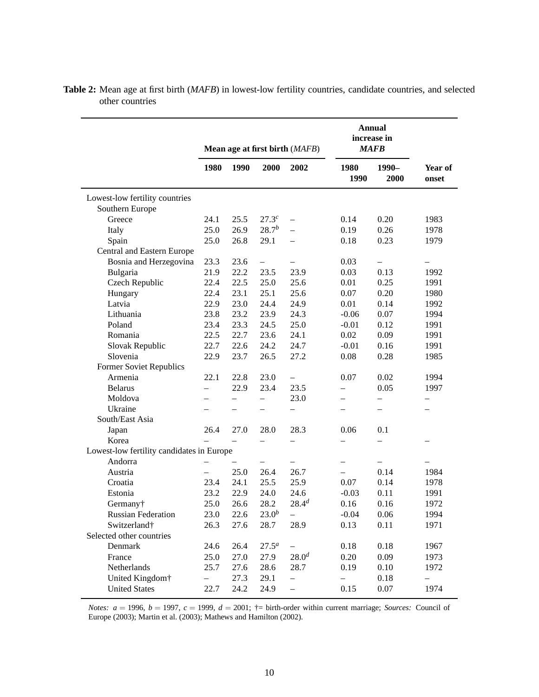|                                           | Mean age at first birth (MAFB) |                          |                          | <b>Annual</b><br>increase in<br><b>MAFB</b> |                          |                          |                          |
|-------------------------------------------|--------------------------------|--------------------------|--------------------------|---------------------------------------------|--------------------------|--------------------------|--------------------------|
|                                           | 1980                           | 1990                     | 2000                     | 2002                                        | 1980<br>1990             | 1990-<br>2000            | Year of<br>onset         |
| Lowest-low fertility countries            |                                |                          |                          |                                             |                          |                          |                          |
| Southern Europe                           |                                |                          |                          |                                             |                          |                          |                          |
| Greece                                    | 24.1                           | 25.5                     | 27.3 <sup>c</sup>        | $\qquad \qquad -$                           | 0.14                     | 0.20                     | 1983                     |
| Italy                                     | 25.0                           | 26.9                     | $28.7^{b}$               | $\equiv$                                    | 0.19                     | 0.26                     | 1978                     |
| Spain                                     | 25.0                           | 26.8                     | 29.1                     | $\overline{\phantom{0}}$                    | 0.18                     | 0.23                     | 1979                     |
| Central and Eastern Europe                |                                |                          |                          |                                             |                          |                          |                          |
| Bosnia and Herzegovina                    | 23.3                           | 23.6                     | -                        | $\overline{\phantom{0}}$                    | 0.03                     | $\overline{\phantom{0}}$ | $\qquad \qquad -$        |
| Bulgaria                                  | 21.9                           | 22.2                     | 23.5                     | 23.9                                        | 0.03                     | 0.13                     | 1992                     |
| Czech Republic                            | 22.4                           | 22.5                     | 25.0                     | 25.6                                        | 0.01                     | 0.25                     | 1991                     |
| Hungary                                   | 22.4                           | 23.1                     | 25.1                     | 25.6                                        | 0.07                     | 0.20                     | 1980                     |
| Latvia                                    | 22.9                           | 23.0                     | 24.4                     | 24.9                                        | 0.01                     | 0.14                     | 1992                     |
| Lithuania                                 | 23.8                           | 23.2                     | 23.9                     | 24.3                                        | $-0.06$                  | 0.07                     | 1994                     |
| Poland                                    | 23.4                           | 23.3                     | 24.5                     | 25.0                                        | $-0.01$                  | 0.12                     | 1991                     |
| Romania                                   | 22.5                           | 22.7                     | 23.6                     | 24.1                                        | 0.02                     | 0.09                     | 1991                     |
| Slovak Republic                           | 22.7                           | 22.6                     | 24.2                     | 24.7                                        | $-0.01$                  | 0.16                     | 1991                     |
| Slovenia                                  | 22.9                           | 23.7                     | 26.5                     | 27.2                                        | 0.08                     | 0.28                     | 1985                     |
| Former Soviet Republics                   |                                |                          |                          |                                             |                          |                          |                          |
| Armenia                                   | 22.1                           | 22.8                     | 23.0                     | $\overline{\phantom{0}}$                    | 0.07                     | 0.02                     | 1994                     |
| <b>Belarus</b>                            | $\overline{\phantom{0}}$       | 22.9                     | 23.4                     | 23.5                                        | $\overline{\phantom{0}}$ | 0.05                     | 1997                     |
| Moldova                                   | $\overline{\phantom{0}}$       | $\overline{\phantom{0}}$ | $\overline{\phantom{0}}$ | 23.0                                        | $\overline{\phantom{0}}$ | $\overline{\phantom{0}}$ | $\overline{\phantom{0}}$ |
| Ukraine                                   |                                |                          |                          | $\overline{\phantom{0}}$                    |                          | $\overline{\phantom{0}}$ |                          |
| South/East Asia                           |                                |                          |                          |                                             |                          |                          |                          |
| Japan                                     | 26.4                           | 27.0                     | 28.0                     | 28.3                                        | 0.06                     | 0.1                      |                          |
| Korea                                     |                                |                          |                          |                                             |                          |                          |                          |
| Lowest-low fertility candidates in Europe |                                |                          |                          |                                             |                          |                          |                          |
| Andorra                                   |                                |                          |                          |                                             |                          |                          |                          |
| Austria                                   | $\overline{\phantom{0}}$       | 25.0                     | 26.4                     | 26.7                                        | $\overline{\phantom{0}}$ | 0.14                     | 1984                     |
| Croatia                                   | 23.4                           | 24.1                     | 25.5                     | 25.9                                        | 0.07                     | 0.14                     | 1978                     |
| Estonia                                   | 23.2                           | 22.9                     | 24.0                     | 24.6                                        | $-0.03$                  | 0.11                     | 1991                     |
| Germany†                                  | 25.0                           | 26.6                     | 28.2                     | $28.4^{d}$                                  | 0.16                     | 0.16                     | 1972                     |
| <b>Russian Federation</b>                 | 23.0                           | 22.6                     | $23.0^{b}$               | $\qquad \qquad -$                           | $-0.04$                  | 0.06                     | 1994                     |
| Switzerland†                              | 26.3                           | 27.6                     | 28.7                     | 28.9                                        | 0.13                     | 0.11                     | 1971                     |
| Selected other countries                  |                                |                          |                          |                                             |                          |                          |                          |
| Denmark                                   | 24.6                           | 26.4                     | $27.5^a$                 |                                             | 0.18                     | 0.18                     | 1967                     |
| France                                    | 25.0                           | 27.0                     | 27.9                     | $28.0^{d}$                                  | 0.20                     | 0.09                     | 1973                     |
| Netherlands                               | 25.7                           | 27.6                     | 28.6                     | 28.7                                        | 0.19                     | 0.10                     | 1972                     |
| United Kingdom†                           | $\overline{\phantom{0}}$       | 27.3                     | 29.1                     | $\equiv$                                    | $\overline{\phantom{0}}$ | 0.18                     | $\overline{\phantom{0}}$ |
| <b>United States</b>                      | 22.7                           | 24.2                     | 24.9                     | $\overline{\phantom{0}}$                    | 0.15                     | 0.07                     | 1974                     |

**Table 2:** Mean age at first birth (*MAFB*) in lowest-low fertility countries, candidate countries, and selected other countries

*Notes:*  $a = 1996$ *,*  $b = 1997$ *,*  $c = 1999$ *,*  $d = 2001$ *;*  $\dagger =$  *birth-order within current marriage; <i>Sources:* Council of Europe (2003); Martin et al. (2003); Mathews and Hamilton (2002).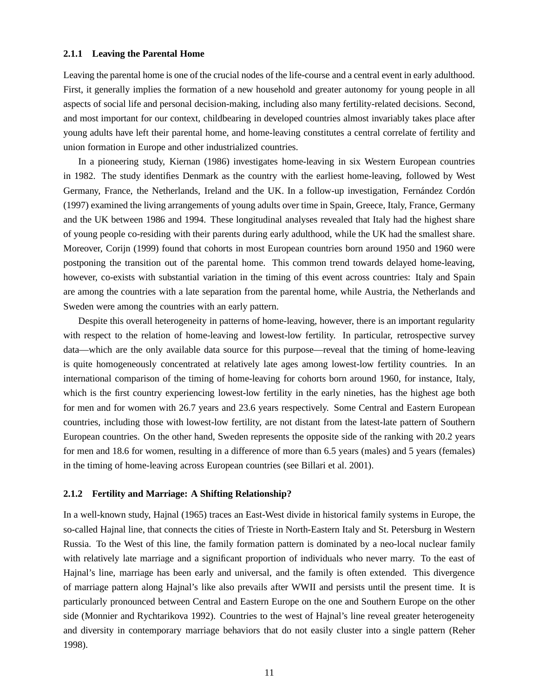#### **2.1.1 Leaving the Parental Home**

Leaving the parental home is one of the crucial nodes of the life-course and a central event in early adulthood. First, it generally implies the formation of a new household and greater autonomy for young people in all aspects of social life and personal decision-making, including also many fertility-related decisions. Second, and most important for our context, childbearing in developed countries almost invariably takes place after young adults have left their parental home, and home-leaving constitutes a central correlate of fertility and union formation in Europe and other industrialized countries.

In a pioneering study, Kiernan (1986) investigates home-leaving in six Western European countries in 1982. The study identifies Denmark as the country with the earliest home-leaving, followed by West Germany, France, the Netherlands, Ireland and the UK. In a follow-up investigation, Fernández Cordón (1997) examined the living arrangements of young adults over time in Spain, Greece, Italy, France, Germany and the UK between 1986 and 1994. These longitudinal analyses revealed that Italy had the highest share of young people co-residing with their parents during early adulthood, while the UK had the smallest share. Moreover, Corijn (1999) found that cohorts in most European countries born around 1950 and 1960 were postponing the transition out of the parental home. This common trend towards delayed home-leaving, however, co-exists with substantial variation in the timing of this event across countries: Italy and Spain are among the countries with a late separation from the parental home, while Austria, the Netherlands and Sweden were among the countries with an early pattern.

Despite this overall heterogeneity in patterns of home-leaving, however, there is an important regularity with respect to the relation of home-leaving and lowest-low fertility. In particular, retrospective survey data—which are the only available data source for this purpose—reveal that the timing of home-leaving is quite homogeneously concentrated at relatively late ages among lowest-low fertility countries. In an international comparison of the timing of home-leaving for cohorts born around 1960, for instance, Italy, which is the first country experiencing lowest-low fertility in the early nineties, has the highest age both for men and for women with 26.7 years and 23.6 years respectively. Some Central and Eastern European countries, including those with lowest-low fertility, are not distant from the latest-late pattern of Southern European countries. On the other hand, Sweden represents the opposite side of the ranking with 20.2 years for men and 18.6 for women, resulting in a difference of more than 6.5 years (males) and 5 years (females) in the timing of home-leaving across European countries (see Billari et al. 2001).

#### **2.1.2 Fertility and Marriage: A Shifting Relationship?**

In a well-known study, Hajnal (1965) traces an East-West divide in historical family systems in Europe, the so-called Hajnal line, that connects the cities of Trieste in North-Eastern Italy and St. Petersburg in Western Russia. To the West of this line, the family formation pattern is dominated by a neo-local nuclear family with relatively late marriage and a significant proportion of individuals who never marry. To the east of Hajnal's line, marriage has been early and universal, and the family is often extended. This divergence of marriage pattern along Hajnal's like also prevails after WWII and persists until the present time. It is particularly pronounced between Central and Eastern Europe on the one and Southern Europe on the other side (Monnier and Rychtarikova 1992). Countries to the west of Hajnal's line reveal greater heterogeneity and diversity in contemporary marriage behaviors that do not easily cluster into a single pattern (Reher 1998).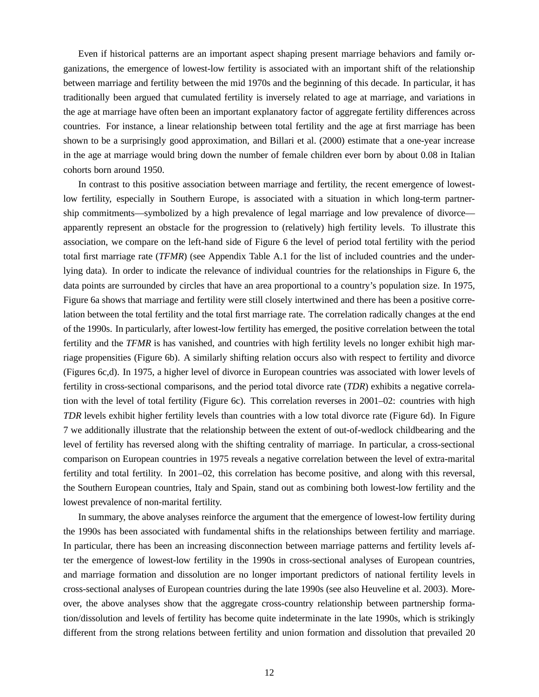Even if historical patterns are an important aspect shaping present marriage behaviors and family organizations, the emergence of lowest-low fertility is associated with an important shift of the relationship between marriage and fertility between the mid 1970s and the beginning of this decade. In particular, it has traditionally been argued that cumulated fertility is inversely related to age at marriage, and variations in the age at marriage have often been an important explanatory factor of aggregate fertility differences across countries. For instance, a linear relationship between total fertility and the age at first marriage has been shown to be a surprisingly good approximation, and Billari et al. (2000) estimate that a one-year increase in the age at marriage would bring down the number of female children ever born by about 0.08 in Italian cohorts born around 1950.

In contrast to this positive association between marriage and fertility, the recent emergence of lowestlow fertility, especially in Southern Europe, is associated with a situation in which long-term partnership commitments—symbolized by a high prevalence of legal marriage and low prevalence of divorce apparently represent an obstacle for the progression to (relatively) high fertility levels. To illustrate this association, we compare on the left-hand side of Figure 6 the level of period total fertility with the period total first marriage rate (*TFMR*) (see Appendix Table A.1 for the list of included countries and the underlying data). In order to indicate the relevance of individual countries for the relationships in Figure 6, the data points are surrounded by circles that have an area proportional to a country's population size. In 1975, Figure 6a shows that marriage and fertility were still closely intertwined and there has been a positive correlation between the total fertility and the total first marriage rate. The correlation radically changes at the end of the 1990s. In particularly, after lowest-low fertility has emerged, the positive correlation between the total fertility and the *TFMR* is has vanished, and countries with high fertility levels no longer exhibit high marriage propensities (Figure 6b). A similarly shifting relation occurs also with respect to fertility and divorce (Figures 6c,d). In 1975, a higher level of divorce in European countries was associated with lower levels of fertility in cross-sectional comparisons, and the period total divorce rate (*TDR*) exhibits a negative correlation with the level of total fertility (Figure 6c). This correlation reverses in 2001–02: countries with high *TDR* levels exhibit higher fertility levels than countries with a low total divorce rate (Figure 6d). In Figure 7 we additionally illustrate that the relationship between the extent of out-of-wedlock childbearing and the level of fertility has reversed along with the shifting centrality of marriage. In particular, a cross-sectional comparison on European countries in 1975 reveals a negative correlation between the level of extra-marital fertility and total fertility. In 2001–02, this correlation has become positive, and along with this reversal, the Southern European countries, Italy and Spain, stand out as combining both lowest-low fertility and the lowest prevalence of non-marital fertility.

In summary, the above analyses reinforce the argument that the emergence of lowest-low fertility during the 1990s has been associated with fundamental shifts in the relationships between fertility and marriage. In particular, there has been an increasing disconnection between marriage patterns and fertility levels after the emergence of lowest-low fertility in the 1990s in cross-sectional analyses of European countries, and marriage formation and dissolution are no longer important predictors of national fertility levels in cross-sectional analyses of European countries during the late 1990s (see also Heuveline et al. 2003). Moreover, the above analyses show that the aggregate cross-country relationship between partnership formation/dissolution and levels of fertility has become quite indeterminate in the late 1990s, which is strikingly different from the strong relations between fertility and union formation and dissolution that prevailed 20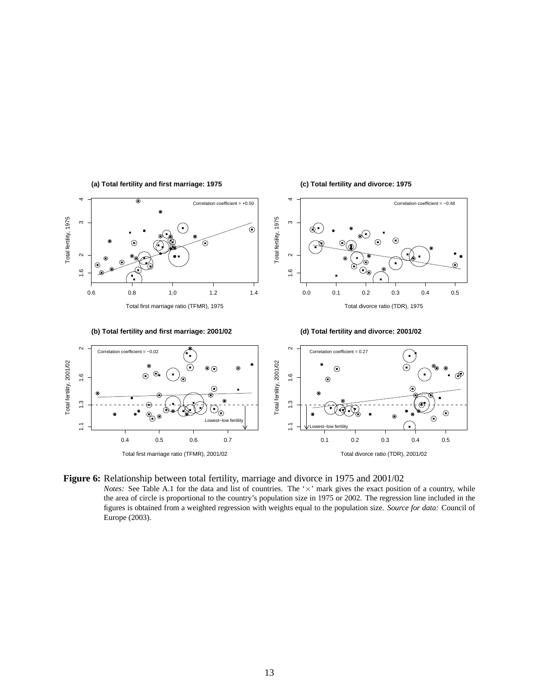

**(a) Total fertility and first marriage: 1975**

**(c) Total fertility and divorce: 1975**

**Figure 6:** Relationship between total fertility, marriage and divorce in 1975 and 2001/02 *Notes:* See Table A.1 for the data and list of countries. The 'x' mark gives the exact position of a country, while the area of circle is proportional to the country's population size in 1975 or 2002. The regression line included in the figures is obtained from a weighted regression with weights equal to the population size. *Source for data:* Council of Europe (2003).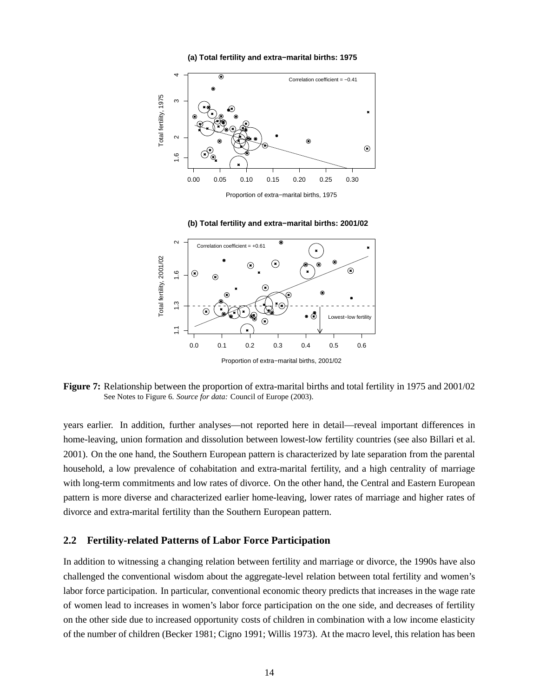



Proportion of extra−marital births, 1975





**Figure 7:** Relationship between the proportion of extra-marital births and total fertility in 1975 and 2001/02 See Notes to Figure 6. *Source for data:* Council of Europe (2003).

years earlier. In addition, further analyses—not reported here in detail—reveal important differences in home-leaving, union formation and dissolution between lowest-low fertility countries (see also Billari et al. 2001). On the one hand, the Southern European pattern is characterized by late separation from the parental household, a low prevalence of cohabitation and extra-marital fertility, and a high centrality of marriage with long-term commitments and low rates of divorce. On the other hand, the Central and Eastern European pattern is more diverse and characterized earlier home-leaving, lower rates of marriage and higher rates of divorce and extra-marital fertility than the Southern European pattern.

#### **2.2 Fertility-related Patterns of Labor Force Participation**

In addition to witnessing a changing relation between fertility and marriage or divorce, the 1990s have also challenged the conventional wisdom about the aggregate-level relation between total fertility and women's labor force participation. In particular, conventional economic theory predicts that increases in the wage rate of women lead to increases in women's labor force participation on the one side, and decreases of fertility on the other side due to increased opportunity costs of children in combination with a low income elasticity of the number of children (Becker 1981; Cigno 1991; Willis 1973). At the macro level, this relation has been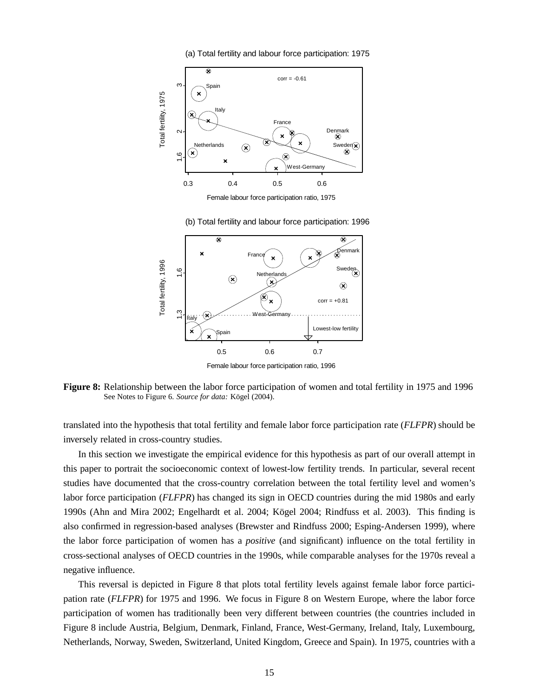



Female labour force participation ratio, 1975





**Figure 8:** Relationship between the labor force participation of women and total fertility in 1975 and 1996 See Notes to Figure 6. *Source for data:* Kögel (2004).

translated into the hypothesis that total fertility and female labor force participation rate (*FLFPR*) should be inversely related in cross-country studies.

In this section we investigate the empirical evidence for this hypothesis as part of our overall attempt in this paper to portrait the socioeconomic context of lowest-low fertility trends. In particular, several recent studies have documented that the cross-country correlation between the total fertility level and women's labor force participation (*FLFPR*) has changed its sign in OECD countries during the mid 1980s and early 1990s (Ahn and Mira 2002; Engelhardt et al. 2004; Kögel 2004; Rindfuss et al. 2003). This finding is also confirmed in regression-based analyses (Brewster and Rindfuss 2000; Esping-Andersen 1999), where the labor force participation of women has a *positive* (and significant) influence on the total fertility in cross-sectional analyses of OECD countries in the 1990s, while comparable analyses for the 1970s reveal a negative influence.

This reversal is depicted in Figure 8 that plots total fertility levels against female labor force participation rate (*FLFPR*) for 1975 and 1996. We focus in Figure 8 on Western Europe, where the labor force participation of women has traditionally been very different between countries (the countries included in Figure 8 include Austria, Belgium, Denmark, Finland, France, West-Germany, Ireland, Italy, Luxembourg, Netherlands, Norway, Sweden, Switzerland, United Kingdom, Greece and Spain). In 1975, countries with a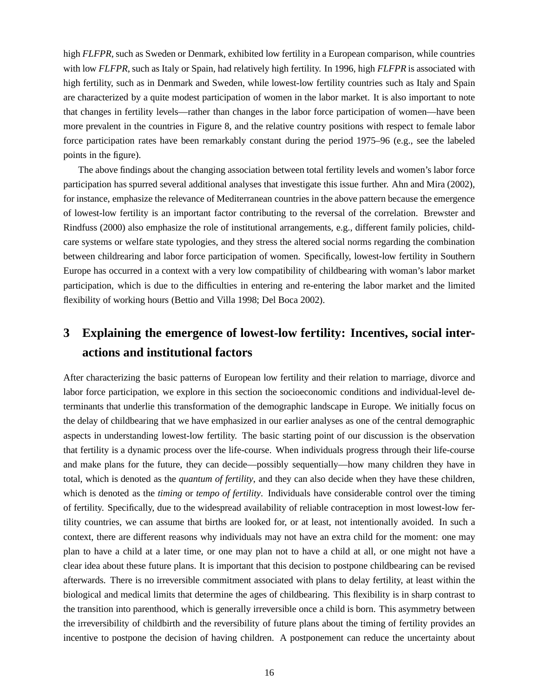high *FLFPR*, such as Sweden or Denmark, exhibited low fertility in a European comparison, while countries with low *FLFPR*, such as Italy or Spain, had relatively high fertility. In 1996, high *FLFPR* is associated with high fertility, such as in Denmark and Sweden, while lowest-low fertility countries such as Italy and Spain are characterized by a quite modest participation of women in the labor market. It is also important to note that changes in fertility levels—rather than changes in the labor force participation of women—have been more prevalent in the countries in Figure 8, and the relative country positions with respect to female labor force participation rates have been remarkably constant during the period 1975–96 (e.g., see the labeled points in the figure).

The above findings about the changing association between total fertility levels and women's labor force participation has spurred several additional analyses that investigate this issue further. Ahn and Mira (2002), for instance, emphasize the relevance of Mediterranean countries in the above pattern because the emergence of lowest-low fertility is an important factor contributing to the reversal of the correlation. Brewster and Rindfuss (2000) also emphasize the role of institutional arrangements, e.g., different family policies, childcare systems or welfare state typologies, and they stress the altered social norms regarding the combination between childrearing and labor force participation of women. Specifically, lowest-low fertility in Southern Europe has occurred in a context with a very low compatibility of childbearing with woman's labor market participation, which is due to the difficulties in entering and re-entering the labor market and the limited flexibility of working hours (Bettio and Villa 1998; Del Boca 2002).

## **3 Explaining the emergence of lowest-low fertility: Incentives, social interactions and institutional factors**

After characterizing the basic patterns of European low fertility and their relation to marriage, divorce and labor force participation, we explore in this section the socioeconomic conditions and individual-level determinants that underlie this transformation of the demographic landscape in Europe. We initially focus on the delay of childbearing that we have emphasized in our earlier analyses as one of the central demographic aspects in understanding lowest-low fertility. The basic starting point of our discussion is the observation that fertility is a dynamic process over the life-course. When individuals progress through their life-course and make plans for the future, they can decide—possibly sequentially—how many children they have in total, which is denoted as the *quantum of fertility*, and they can also decide when they have these children, which is denoted as the *timing* or *tempo of fertility*. Individuals have considerable control over the timing of fertility. Specifically, due to the widespread availability of reliable contraception in most lowest-low fertility countries, we can assume that births are looked for, or at least, not intentionally avoided. In such a context, there are different reasons why individuals may not have an extra child for the moment: one may plan to have a child at a later time, or one may plan not to have a child at all, or one might not have a clear idea about these future plans. It is important that this decision to postpone childbearing can be revised afterwards. There is no irreversible commitment associated with plans to delay fertility, at least within the biological and medical limits that determine the ages of childbearing. This flexibility is in sharp contrast to the transition into parenthood, which is generally irreversible once a child is born. This asymmetry between the irreversibility of childbirth and the reversibility of future plans about the timing of fertility provides an incentive to postpone the decision of having children. A postponement can reduce the uncertainty about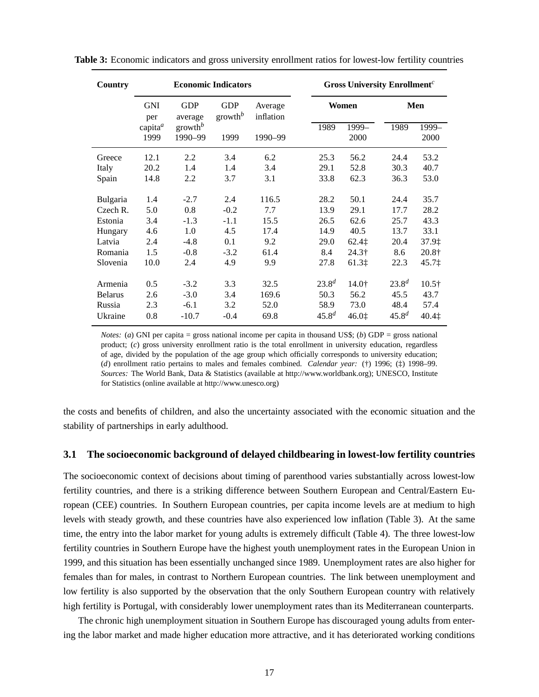| Country        | <b>Economic Indicators</b>  |                                |                                   |                      |            | <b>Gross University Enrollment</b> <sup>c</sup> |            |               |
|----------------|-----------------------------|--------------------------------|-----------------------------------|----------------------|------------|-------------------------------------------------|------------|---------------|
|                | <b>GNI</b><br>per           | <b>GDP</b><br>average          | <b>GDP</b><br>growth <sup>b</sup> | Average<br>inflation |            | Women                                           |            | Men           |
|                | capita <sup>a</sup><br>1999 | growth <sup>b</sup><br>1990-99 | 1999                              | 1990-99              | 1989       | 1999-<br>2000                                   | 1989       | 1999-<br>2000 |
| Greece         | 12.1                        | 2.2                            | 3.4                               | 6.2                  | 25.3       | 56.2                                            | 24.4       | 53.2          |
| Italy          | 20.2                        | 1.4                            | 1.4                               | 3.4                  | 29.1       | 52.8                                            | 30.3       | 40.7          |
| Spain          | 14.8                        | 2.2                            | 3.7                               | 3.1                  | 33.8       | 62.3                                            | 36.3       | 53.0          |
| Bulgaria       | 1.4                         | $-2.7$                         | 2.4                               | 116.5                | 28.2       | 50.1                                            | 24.4       | 35.7          |
| Czech R.       | 5.0                         | 0.8                            | $-0.2$                            | 7.7                  | 13.9       | 29.1                                            | 17.7       | 28.2          |
| Estonia        | 3.4                         | $-1.3$                         | $-1.1$                            | 15.5                 | 26.5       | 62.6                                            | 25.7       | 43.3          |
| Hungary        | 4.6                         | 1.0                            | 4.5                               | 17.4                 | 14.9       | 40.5                                            | 13.7       | 33.1          |
| Latvia         | 2.4                         | $-4.8$                         | 0.1                               | 9.2                  | 29.0       | 62.4‡                                           | 20.4       | 37.9‡         |
| Romania        | 1.5                         | $-0.8$                         | $-3.2$                            | 61.4                 | 8.4        | 24.3†                                           | 8.6        | 20.8†         |
| Slovenia       | 10.0                        | 2.4                            | 4.9                               | 9.9                  | 27.8       | 61.3‡                                           | 22.3       | 45.7‡         |
| Armenia        | 0.5                         | $-3.2$                         | 3.3                               | 32.5                 | $23.8^{d}$ | 14.0†                                           | $23.8^{d}$ | $10.5\dagger$ |
| <b>Belarus</b> | 2.6                         | $-3.0$                         | 3.4                               | 169.6                | 50.3       | 56.2                                            | 45.5       | 43.7          |
| Russia         | 2.3                         | $-6.1$                         | 3.2                               | 52.0                 | 58.9       | 73.0                                            | 48.4       | 57.4          |
| Ukraine        | 0.8                         | $-10.7$                        | $-0.4$                            | 69.8                 | $45.8^{d}$ | 46.0‡                                           | $45.8^{d}$ | 40.4‡         |

**Table 3:** Economic indicators and gross university enrollment ratios for lowest-low fertility countries

*Notes:* (*a*) GNI per capita = gross national income per capita in thousand US\$; (*b*) GDP = gross national product; (*c*) gross university enrollment ratio is the total enrollment in university education, regardless of age, divided by the population of the age group which officially corresponds to university education; (*d*) enrollment ratio pertains to males and females combined. *Calendar year:* (†) 1996; (‡) 1998–99. *Sources:* The World Bank, Data & Statistics (available at http://www.worldbank.org); UNESCO, Institute for Statistics (online available at http://www.unesco.org)

the costs and benefits of children, and also the uncertainty associated with the economic situation and the stability of partnerships in early adulthood.

#### **3.1 The socioeconomic background of delayed childbearing in lowest-low fertility countries**

The socioeconomic context of decisions about timing of parenthood varies substantially across lowest-low fertility countries, and there is a striking difference between Southern European and Central/Eastern European (CEE) countries. In Southern European countries, per capita income levels are at medium to high levels with steady growth, and these countries have also experienced low inflation (Table 3). At the same time, the entry into the labor market for young adults is extremely difficult (Table 4). The three lowest-low fertility countries in Southern Europe have the highest youth unemployment rates in the European Union in 1999, and this situation has been essentially unchanged since 1989. Unemployment rates are also higher for females than for males, in contrast to Northern European countries. The link between unemployment and low fertility is also supported by the observation that the only Southern European country with relatively high fertility is Portugal, with considerably lower unemployment rates than its Mediterranean counterparts.

The chronic high unemployment situation in Southern Europe has discouraged young adults from entering the labor market and made higher education more attractive, and it has deteriorated working conditions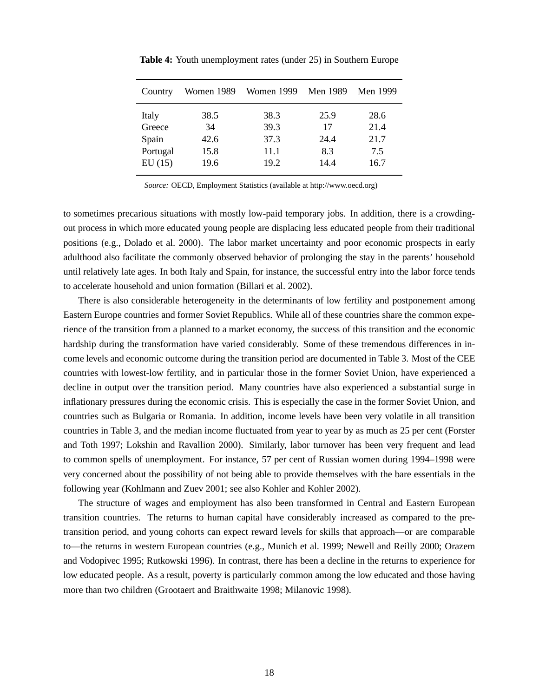| Country  | <b>Women 1989</b> | Women 1999 | Men 1989 | Men 1999 |
|----------|-------------------|------------|----------|----------|
| Italy    | 38.5              | 38.3       | 25.9     | 28.6     |
| Greece   | 34                | 39.3       | 17       | 21.4     |
| Spain    | 42.6              | 37.3       | 24.4     | 21.7     |
| Portugal | 15.8              | 11.1       | 8.3      | 7.5      |
| EU(15)   | 19.6              | 19.2       | 14.4     | 16.7     |

**Table 4:** Youth unemployment rates (under 25) in Southern Europe

*Source:* OECD, Employment Statistics (available at http://www.oecd.org)

to sometimes precarious situations with mostly low-paid temporary jobs. In addition, there is a crowdingout process in which more educated young people are displacing less educated people from their traditional positions (e.g., Dolado et al. 2000). The labor market uncertainty and poor economic prospects in early adulthood also facilitate the commonly observed behavior of prolonging the stay in the parents' household until relatively late ages. In both Italy and Spain, for instance, the successful entry into the labor force tends to accelerate household and union formation (Billari et al. 2002).

There is also considerable heterogeneity in the determinants of low fertility and postponement among Eastern Europe countries and former Soviet Republics. While all of these countries share the common experience of the transition from a planned to a market economy, the success of this transition and the economic hardship during the transformation have varied considerably. Some of these tremendous differences in income levels and economic outcome during the transition period are documented in Table 3. Most of the CEE countries with lowest-low fertility, and in particular those in the former Soviet Union, have experienced a decline in output over the transition period. Many countries have also experienced a substantial surge in inflationary pressures during the economic crisis. This is especially the case in the former Soviet Union, and countries such as Bulgaria or Romania. In addition, income levels have been very volatile in all transition countries in Table 3, and the median income fluctuated from year to year by as much as 25 per cent (Forster and Toth 1997; Lokshin and Ravallion 2000). Similarly, labor turnover has been very frequent and lead to common spells of unemployment. For instance, 57 per cent of Russian women during 1994–1998 were very concerned about the possibility of not being able to provide themselves with the bare essentials in the following year (Kohlmann and Zuev 2001; see also Kohler and Kohler 2002).

The structure of wages and employment has also been transformed in Central and Eastern European transition countries. The returns to human capital have considerably increased as compared to the pretransition period, and young cohorts can expect reward levels for skills that approach—or are comparable to—the returns in western European countries (e.g., Munich et al. 1999; Newell and Reilly 2000; Orazem and Vodopivec 1995; Rutkowski 1996). In contrast, there has been a decline in the returns to experience for low educated people. As a result, poverty is particularly common among the low educated and those having more than two children (Grootaert and Braithwaite 1998; Milanovic 1998).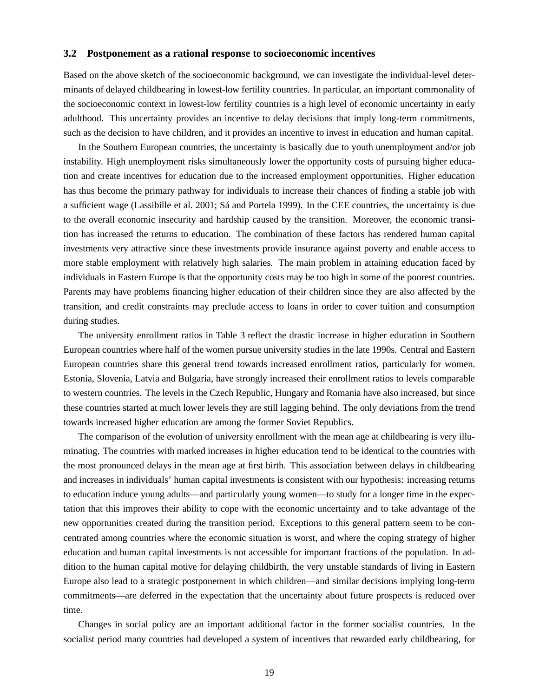#### **3.2 Postponement as a rational response to socioeconomic incentives**

Based on the above sketch of the socioeconomic background, we can investigate the individual-level determinants of delayed childbearing in lowest-low fertility countries. In particular, an important commonality of the socioeconomic context in lowest-low fertility countries is a high level of economic uncertainty in early adulthood. This uncertainty provides an incentive to delay decisions that imply long-term commitments, such as the decision to have children, and it provides an incentive to invest in education and human capital.

In the Southern European countries, the uncertainty is basically due to youth unemployment and/or job instability. High unemployment risks simultaneously lower the opportunity costs of pursuing higher education and create incentives for education due to the increased employment opportunities. Higher education has thus become the primary pathway for individuals to increase their chances of finding a stable job with a sufficient wage (Lassibille et al. 2001; Sá and Portela 1999). In the CEE countries, the uncertainty is due to the overall economic insecurity and hardship caused by the transition. Moreover, the economic transition has increased the returns to education. The combination of these factors has rendered human capital investments very attractive since these investments provide insurance against poverty and enable access to more stable employment with relatively high salaries. The main problem in attaining education faced by individuals in Eastern Europe is that the opportunity costs may be too high in some of the poorest countries. Parents may have problems financing higher education of their children since they are also affected by the transition, and credit constraints may preclude access to loans in order to cover tuition and consumption during studies.

The university enrollment ratios in Table 3 reflect the drastic increase in higher education in Southern European countries where half of the women pursue university studies in the late 1990s. Central and Eastern European countries share this general trend towards increased enrollment ratios, particularly for women. Estonia, Slovenia, Latvia and Bulgaria, have strongly increased their enrollment ratios to levels comparable to western countries. The levels in the Czech Republic, Hungary and Romania have also increased, but since these countries started at much lower levels they are still lagging behind. The only deviations from the trend towards increased higher education are among the former Soviet Republics.

The comparison of the evolution of university enrollment with the mean age at childbearing is very illuminating. The countries with marked increases in higher education tend to be identical to the countries with the most pronounced delays in the mean age at first birth. This association between delays in childbearing and increases in individuals' human capital investments is consistent with our hypothesis: increasing returns to education induce young adults—and particularly young women—to study for a longer time in the expectation that this improves their ability to cope with the economic uncertainty and to take advantage of the new opportunities created during the transition period. Exceptions to this general pattern seem to be concentrated among countries where the economic situation is worst, and where the coping strategy of higher education and human capital investments is not accessible for important fractions of the population. In addition to the human capital motive for delaying childbirth, the very unstable standards of living in Eastern Europe also lead to a strategic postponement in which children—and similar decisions implying long-term commitments—are deferred in the expectation that the uncertainty about future prospects is reduced over time.

Changes in social policy are an important additional factor in the former socialist countries. In the socialist period many countries had developed a system of incentives that rewarded early childbearing, for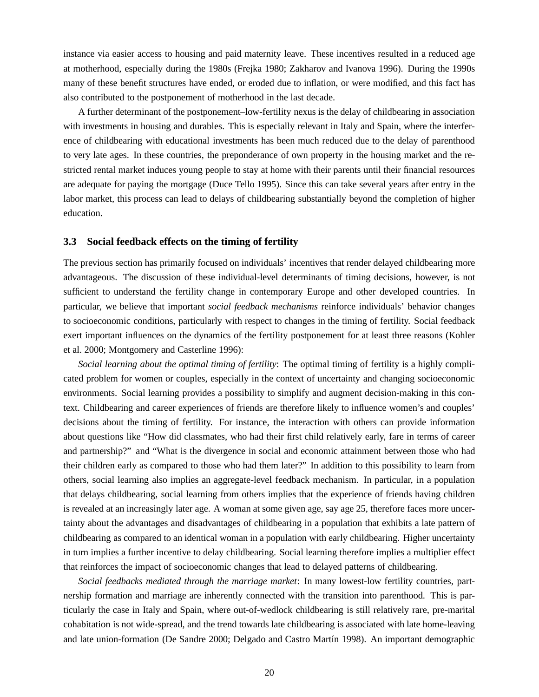instance via easier access to housing and paid maternity leave. These incentives resulted in a reduced age at motherhood, especially during the 1980s (Frejka 1980; Zakharov and Ivanova 1996). During the 1990s many of these benefit structures have ended, or eroded due to inflation, or were modified, and this fact has also contributed to the postponement of motherhood in the last decade.

A further determinant of the postponement–low-fertility nexus is the delay of childbearing in association with investments in housing and durables. This is especially relevant in Italy and Spain, where the interference of childbearing with educational investments has been much reduced due to the delay of parenthood to very late ages. In these countries, the preponderance of own property in the housing market and the restricted rental market induces young people to stay at home with their parents until their financial resources are adequate for paying the mortgage (Duce Tello 1995). Since this can take several years after entry in the labor market, this process can lead to delays of childbearing substantially beyond the completion of higher education.

#### **3.3 Social feedback effects on the timing of fertility**

The previous section has primarily focused on individuals' incentives that render delayed childbearing more advantageous. The discussion of these individual-level determinants of timing decisions, however, is not sufficient to understand the fertility change in contemporary Europe and other developed countries. In particular, we believe that important *social feedback mechanisms* reinforce individuals' behavior changes to socioeconomic conditions, particularly with respect to changes in the timing of fertility. Social feedback exert important influences on the dynamics of the fertility postponement for at least three reasons (Kohler et al. 2000; Montgomery and Casterline 1996):

*Social learning about the optimal timing of fertility*: The optimal timing of fertility is a highly complicated problem for women or couples, especially in the context of uncertainty and changing socioeconomic environments. Social learning provides a possibility to simplify and augment decision-making in this context. Childbearing and career experiences of friends are therefore likely to influence women's and couples' decisions about the timing of fertility. For instance, the interaction with others can provide information about questions like "How did classmates, who had their first child relatively early, fare in terms of career and partnership?" and "What is the divergence in social and economic attainment between those who had their children early as compared to those who had them later?" In addition to this possibility to learn from others, social learning also implies an aggregate-level feedback mechanism. In particular, in a population that delays childbearing, social learning from others implies that the experience of friends having children is revealed at an increasingly later age. A woman at some given age, say age 25, therefore faces more uncertainty about the advantages and disadvantages of childbearing in a population that exhibits a late pattern of childbearing as compared to an identical woman in a population with early childbearing. Higher uncertainty in turn implies a further incentive to delay childbearing. Social learning therefore implies a multiplier effect that reinforces the impact of socioeconomic changes that lead to delayed patterns of childbearing.

*Social feedbacks mediated through the marriage market*: In many lowest-low fertility countries, partnership formation and marriage are inherently connected with the transition into parenthood. This is particularly the case in Italy and Spain, where out-of-wedlock childbearing is still relatively rare, pre-marital cohabitation is not wide-spread, and the trend towards late childbearing is associated with late home-leaving and late union-formation (De Sandre 2000; Delgado and Castro Martín 1998). An important demographic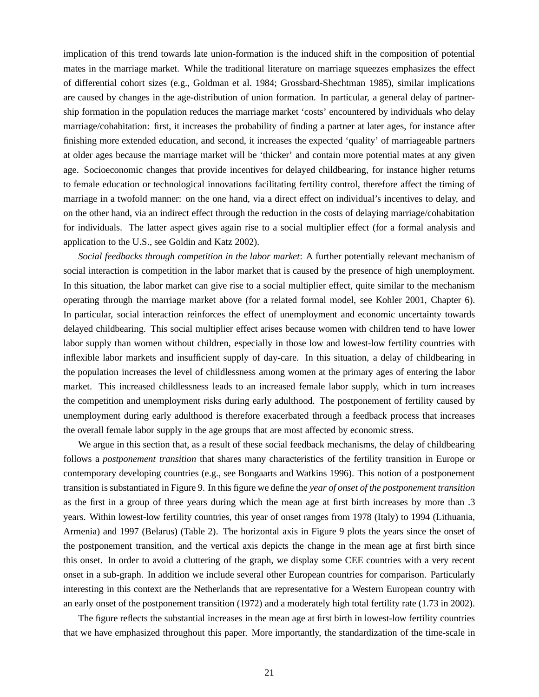implication of this trend towards late union-formation is the induced shift in the composition of potential mates in the marriage market. While the traditional literature on marriage squeezes emphasizes the effect of differential cohort sizes (e.g., Goldman et al. 1984; Grossbard-Shechtman 1985), similar implications are caused by changes in the age-distribution of union formation. In particular, a general delay of partnership formation in the population reduces the marriage market 'costs' encountered by individuals who delay marriage/cohabitation: first, it increases the probability of finding a partner at later ages, for instance after finishing more extended education, and second, it increases the expected 'quality' of marriageable partners at older ages because the marriage market will be 'thicker' and contain more potential mates at any given age. Socioeconomic changes that provide incentives for delayed childbearing, for instance higher returns to female education or technological innovations facilitating fertility control, therefore affect the timing of marriage in a twofold manner: on the one hand, via a direct effect on individual's incentives to delay, and on the other hand, via an indirect effect through the reduction in the costs of delaying marriage/cohabitation for individuals. The latter aspect gives again rise to a social multiplier effect (for a formal analysis and application to the U.S., see Goldin and Katz 2002).

*Social feedbacks through competition in the labor market*: A further potentially relevant mechanism of social interaction is competition in the labor market that is caused by the presence of high unemployment. In this situation, the labor market can give rise to a social multiplier effect, quite similar to the mechanism operating through the marriage market above (for a related formal model, see Kohler 2001, Chapter 6). In particular, social interaction reinforces the effect of unemployment and economic uncertainty towards delayed childbearing. This social multiplier effect arises because women with children tend to have lower labor supply than women without children, especially in those low and lowest-low fertility countries with inflexible labor markets and insufficient supply of day-care. In this situation, a delay of childbearing in the population increases the level of childlessness among women at the primary ages of entering the labor market. This increased childlessness leads to an increased female labor supply, which in turn increases the competition and unemployment risks during early adulthood. The postponement of fertility caused by unemployment during early adulthood is therefore exacerbated through a feedback process that increases the overall female labor supply in the age groups that are most affected by economic stress.

We argue in this section that, as a result of these social feedback mechanisms, the delay of childbearing follows a *postponement transition* that shares many characteristics of the fertility transition in Europe or contemporary developing countries (e.g., see Bongaarts and Watkins 1996). This notion of a postponement transition is substantiated in Figure 9. In this figure we define the *year of onset of the postponement transition* as the first in a group of three years during which the mean age at first birth increases by more than .3 years. Within lowest-low fertility countries, this year of onset ranges from 1978 (Italy) to 1994 (Lithuania, Armenia) and 1997 (Belarus) (Table 2). The horizontal axis in Figure 9 plots the years since the onset of the postponement transition, and the vertical axis depicts the change in the mean age at first birth since this onset. In order to avoid a cluttering of the graph, we display some CEE countries with a very recent onset in a sub-graph. In addition we include several other European countries for comparison. Particularly interesting in this context are the Netherlands that are representative for a Western European country with an early onset of the postponement transition (1972) and a moderately high total fertility rate (1.73 in 2002).

The figure reflects the substantial increases in the mean age at first birth in lowest-low fertility countries that we have emphasized throughout this paper. More importantly, the standardization of the time-scale in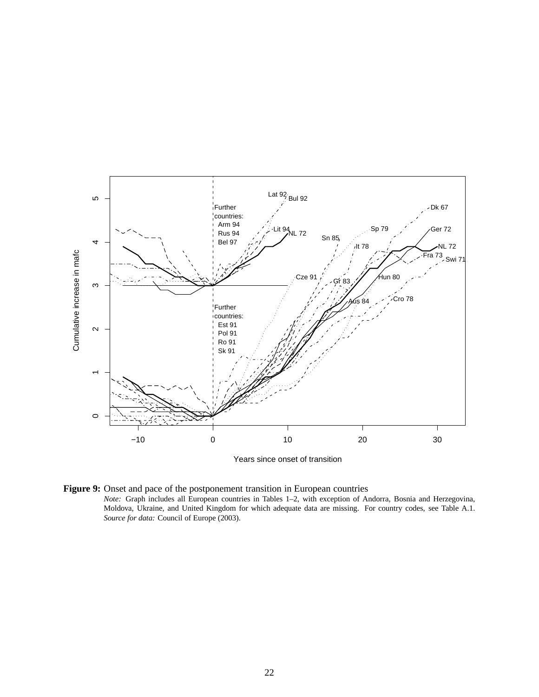

Years since onset of transition

**Figure 9:** Onset and pace of the postponement transition in European countries *Note:* Graph includes all European countries in Tables 1–2, with exception of Andorra, Bosnia and Herzegovina, Moldova, Ukraine, and United Kingdom for which adequate data are missing. For country codes, see Table A.1. *Source for data:* Council of Europe (2003).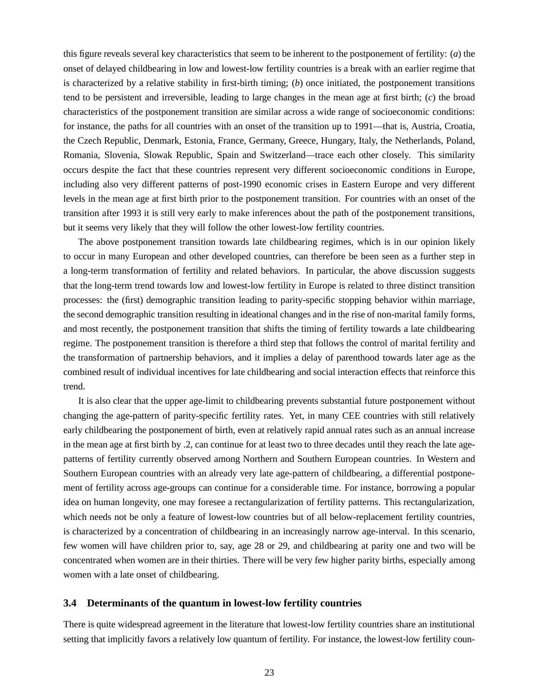this figure reveals several key characteristics that seem to be inherent to the postponement of fertility: (*a*) the onset of delayed childbearing in low and lowest-low fertility countries is a break with an earlier regime that is characterized by a relative stability in first-birth timing; (*b*) once initiated, the postponement transitions tend to be persistent and irreversible, leading to large changes in the mean age at first birth; (*c*) the broad characteristics of the postponement transition are similar across a wide range of socioeconomic conditions: for instance, the paths for all countries with an onset of the transition up to 1991—that is, Austria, Croatia, the Czech Republic, Denmark, Estonia, France, Germany, Greece, Hungary, Italy, the Netherlands, Poland, Romania, Slovenia, Slowak Republic, Spain and Switzerland—trace each other closely. This similarity occurs despite the fact that these countries represent very different socioeconomic conditions in Europe, including also very different patterns of post-1990 economic crises in Eastern Europe and very different levels in the mean age at first birth prior to the postponement transition. For countries with an onset of the transition after 1993 it is still very early to make inferences about the path of the postponement transitions, but it seems very likely that they will follow the other lowest-low fertility countries.

The above postponement transition towards late childbearing regimes, which is in our opinion likely to occur in many European and other developed countries, can therefore be been seen as a further step in a long-term transformation of fertility and related behaviors. In particular, the above discussion suggests that the long-term trend towards low and lowest-low fertility in Europe is related to three distinct transition processes: the (first) demographic transition leading to parity-specific stopping behavior within marriage, the second demographic transition resulting in ideational changes and in the rise of non-marital family forms, and most recently, the postponement transition that shifts the timing of fertility towards a late childbearing regime. The postponement transition is therefore a third step that follows the control of marital fertility and the transformation of partnership behaviors, and it implies a delay of parenthood towards later age as the combined result of individual incentives for late childbearing and social interaction effects that reinforce this trend.

It is also clear that the upper age-limit to childbearing prevents substantial future postponement without changing the age-pattern of parity-specific fertility rates. Yet, in many CEE countries with still relatively early childbearing the postponement of birth, even at relatively rapid annual rates such as an annual increase in the mean age at first birth by .2, can continue for at least two to three decades until they reach the late agepatterns of fertility currently observed among Northern and Southern European countries. In Western and Southern European countries with an already very late age-pattern of childbearing, a differential postponement of fertility across age-groups can continue for a considerable time. For instance, borrowing a popular idea on human longevity, one may foresee a rectangularization of fertility patterns. This rectangularization, which needs not be only a feature of lowest-low countries but of all below-replacement fertility countries, is characterized by a concentration of childbearing in an increasingly narrow age-interval. In this scenario, few women will have children prior to, say, age 28 or 29, and childbearing at parity one and two will be concentrated when women are in their thirties. There will be very few higher parity births, especially among women with a late onset of childbearing.

#### **3.4 Determinants of the quantum in lowest-low fertility countries**

There is quite widespread agreement in the literature that lowest-low fertility countries share an institutional setting that implicitly favors a relatively low quantum of fertility. For instance, the lowest-low fertility coun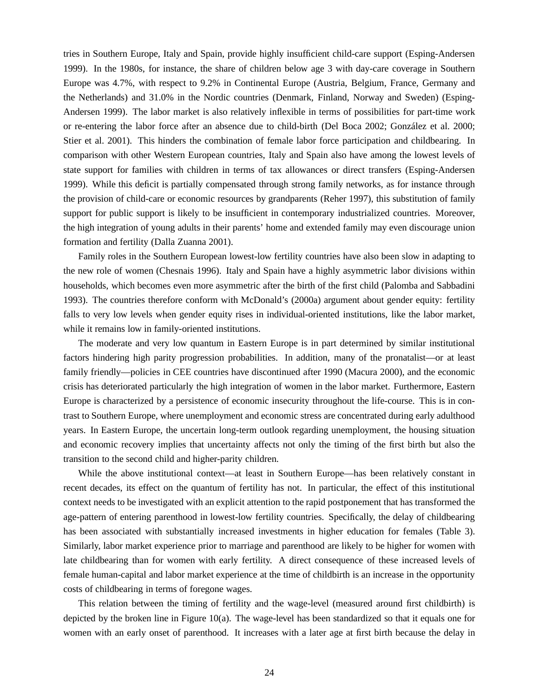tries in Southern Europe, Italy and Spain, provide highly insufficient child-care support (Esping-Andersen 1999). In the 1980s, for instance, the share of children below age 3 with day-care coverage in Southern Europe was 4.7%, with respect to 9.2% in Continental Europe (Austria, Belgium, France, Germany and the Netherlands) and 31.0% in the Nordic countries (Denmark, Finland, Norway and Sweden) (Esping-Andersen 1999). The labor market is also relatively inflexible in terms of possibilities for part-time work or re-entering the labor force after an absence due to child-birth (Del Boca 2002; González et al. 2000; Stier et al. 2001). This hinders the combination of female labor force participation and childbearing. In comparison with other Western European countries, Italy and Spain also have among the lowest levels of state support for families with children in terms of tax allowances or direct transfers (Esping-Andersen 1999). While this deficit is partially compensated through strong family networks, as for instance through the provision of child-care or economic resources by grandparents (Reher 1997), this substitution of family support for public support is likely to be insufficient in contemporary industrialized countries. Moreover, the high integration of young adults in their parents' home and extended family may even discourage union formation and fertility (Dalla Zuanna 2001).

Family roles in the Southern European lowest-low fertility countries have also been slow in adapting to the new role of women (Chesnais 1996). Italy and Spain have a highly asymmetric labor divisions within households, which becomes even more asymmetric after the birth of the first child (Palomba and Sabbadini 1993). The countries therefore conform with McDonald's (2000a) argument about gender equity: fertility falls to very low levels when gender equity rises in individual-oriented institutions, like the labor market, while it remains low in family-oriented institutions.

The moderate and very low quantum in Eastern Europe is in part determined by similar institutional factors hindering high parity progression probabilities. In addition, many of the pronatalist—or at least family friendly—policies in CEE countries have discontinued after 1990 (Macura 2000), and the economic crisis has deteriorated particularly the high integration of women in the labor market. Furthermore, Eastern Europe is characterized by a persistence of economic insecurity throughout the life-course. This is in contrast to Southern Europe, where unemployment and economic stress are concentrated during early adulthood years. In Eastern Europe, the uncertain long-term outlook regarding unemployment, the housing situation and economic recovery implies that uncertainty affects not only the timing of the first birth but also the transition to the second child and higher-parity children.

While the above institutional context—at least in Southern Europe—has been relatively constant in recent decades, its effect on the quantum of fertility has not. In particular, the effect of this institutional context needs to be investigated with an explicit attention to the rapid postponement that has transformed the age-pattern of entering parenthood in lowest-low fertility countries. Specifically, the delay of childbearing has been associated with substantially increased investments in higher education for females (Table 3). Similarly, labor market experience prior to marriage and parenthood are likely to be higher for women with late childbearing than for women with early fertility. A direct consequence of these increased levels of female human-capital and labor market experience at the time of childbirth is an increase in the opportunity costs of childbearing in terms of foregone wages.

This relation between the timing of fertility and the wage-level (measured around first childbirth) is depicted by the broken line in Figure 10(a). The wage-level has been standardized so that it equals one for women with an early onset of parenthood. It increases with a later age at first birth because the delay in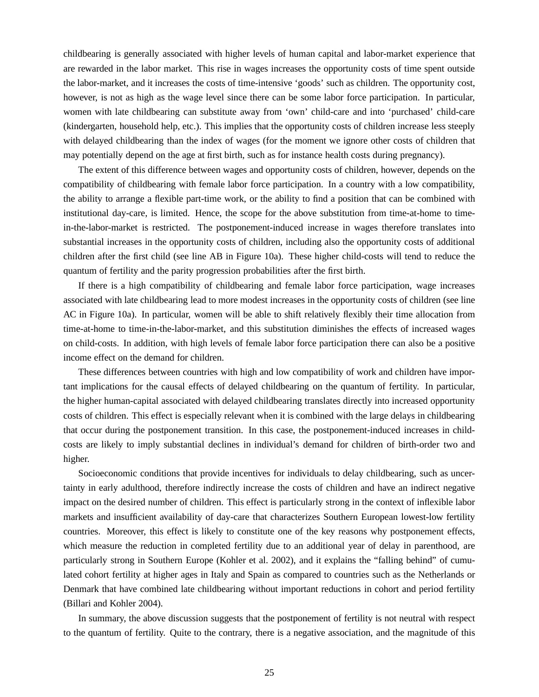childbearing is generally associated with higher levels of human capital and labor-market experience that are rewarded in the labor market. This rise in wages increases the opportunity costs of time spent outside the labor-market, and it increases the costs of time-intensive 'goods' such as children. The opportunity cost, however, is not as high as the wage level since there can be some labor force participation. In particular, women with late childbearing can substitute away from 'own' child-care and into 'purchased' child-care (kindergarten, household help, etc.). This implies that the opportunity costs of children increase less steeply with delayed childbearing than the index of wages (for the moment we ignore other costs of children that may potentially depend on the age at first birth, such as for instance health costs during pregnancy).

The extent of this difference between wages and opportunity costs of children, however, depends on the compatibility of childbearing with female labor force participation. In a country with a low compatibility, the ability to arrange a flexible part-time work, or the ability to find a position that can be combined with institutional day-care, is limited. Hence, the scope for the above substitution from time-at-home to timein-the-labor-market is restricted. The postponement-induced increase in wages therefore translates into substantial increases in the opportunity costs of children, including also the opportunity costs of additional children after the first child (see line AB in Figure 10a). These higher child-costs will tend to reduce the quantum of fertility and the parity progression probabilities after the first birth.

If there is a high compatibility of childbearing and female labor force participation, wage increases associated with late childbearing lead to more modest increases in the opportunity costs of children (see line AC in Figure 10a). In particular, women will be able to shift relatively flexibly their time allocation from time-at-home to time-in-the-labor-market, and this substitution diminishes the effects of increased wages on child-costs. In addition, with high levels of female labor force participation there can also be a positive income effect on the demand for children.

These differences between countries with high and low compatibility of work and children have important implications for the causal effects of delayed childbearing on the quantum of fertility. In particular, the higher human-capital associated with delayed childbearing translates directly into increased opportunity costs of children. This effect is especially relevant when it is combined with the large delays in childbearing that occur during the postponement transition. In this case, the postponement-induced increases in childcosts are likely to imply substantial declines in individual's demand for children of birth-order two and higher.

Socioeconomic conditions that provide incentives for individuals to delay childbearing, such as uncertainty in early adulthood, therefore indirectly increase the costs of children and have an indirect negative impact on the desired number of children. This effect is particularly strong in the context of inflexible labor markets and insufficient availability of day-care that characterizes Southern European lowest-low fertility countries. Moreover, this effect is likely to constitute one of the key reasons why postponement effects, which measure the reduction in completed fertility due to an additional year of delay in parenthood, are particularly strong in Southern Europe (Kohler et al. 2002), and it explains the "falling behind" of cumulated cohort fertility at higher ages in Italy and Spain as compared to countries such as the Netherlands or Denmark that have combined late childbearing without important reductions in cohort and period fertility (Billari and Kohler 2004).

In summary, the above discussion suggests that the postponement of fertility is not neutral with respect to the quantum of fertility. Quite to the contrary, there is a negative association, and the magnitude of this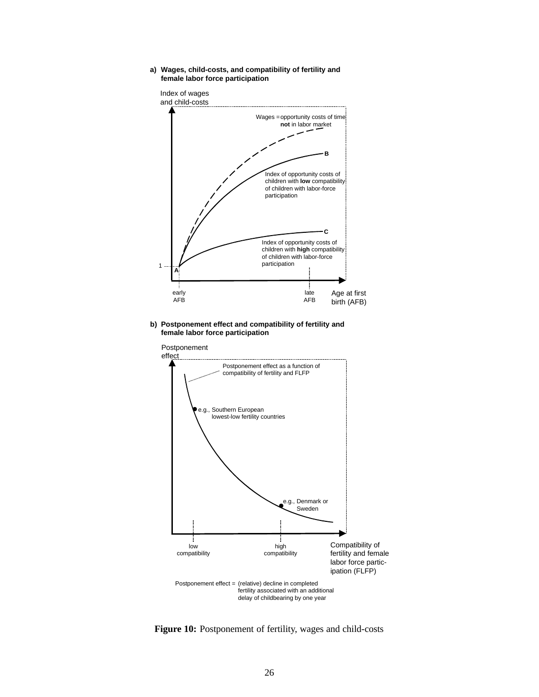**a) Wages, child-costs, and compatibility of fertili ty and female labor force participation**



**b) Postponement effect and compatibility of fertili ty and female labor force participation**



**Figure 10:** Postponement of fertility, wages and child-costs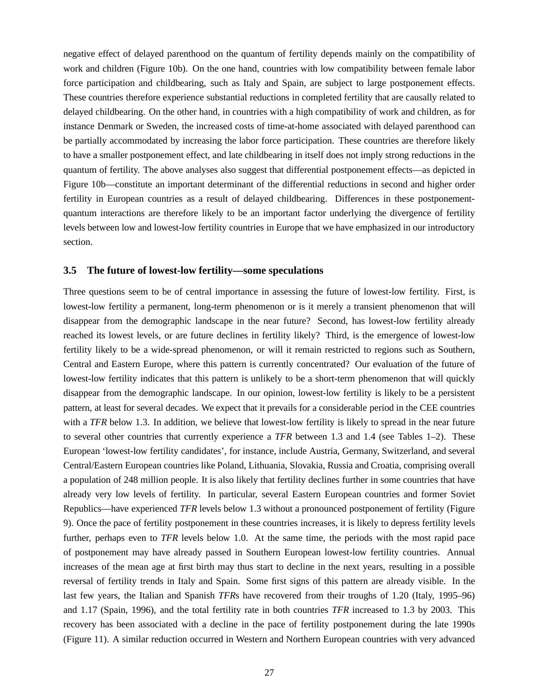negative effect of delayed parenthood on the quantum of fertility depends mainly on the compatibility of work and children (Figure 10b). On the one hand, countries with low compatibility between female labor force participation and childbearing, such as Italy and Spain, are subject to large postponement effects. These countries therefore experience substantial reductions in completed fertility that are causally related to delayed childbearing. On the other hand, in countries with a high compatibility of work and children, as for instance Denmark or Sweden, the increased costs of time-at-home associated with delayed parenthood can be partially accommodated by increasing the labor force participation. These countries are therefore likely to have a smaller postponement effect, and late childbearing in itself does not imply strong reductions in the quantum of fertility. The above analyses also suggest that differential postponement effects—as depicted in Figure 10b—constitute an important determinant of the differential reductions in second and higher order fertility in European countries as a result of delayed childbearing. Differences in these postponementquantum interactions are therefore likely to be an important factor underlying the divergence of fertility levels between low and lowest-low fertility countries in Europe that we have emphasized in our introductory section.

#### **3.5 The future of lowest-low fertility—some speculations**

Three questions seem to be of central importance in assessing the future of lowest-low fertility. First, is lowest-low fertility a permanent, long-term phenomenon or is it merely a transient phenomenon that will disappear from the demographic landscape in the near future? Second, has lowest-low fertility already reached its lowest levels, or are future declines in fertility likely? Third, is the emergence of lowest-low fertility likely to be a wide-spread phenomenon, or will it remain restricted to regions such as Southern, Central and Eastern Europe, where this pattern is currently concentrated? Our evaluation of the future of lowest-low fertility indicates that this pattern is unlikely to be a short-term phenomenon that will quickly disappear from the demographic landscape. In our opinion, lowest-low fertility is likely to be a persistent pattern, at least for several decades. We expect that it prevails for a considerable period in the CEE countries with a *TFR* below 1.3. In addition, we believe that lowest-low fertility is likely to spread in the near future to several other countries that currently experience a *TFR* between 1.3 and 1.4 (see Tables 1–2). These European 'lowest-low fertility candidates', for instance, include Austria, Germany, Switzerland, and several Central/Eastern European countries like Poland, Lithuania, Slovakia, Russia and Croatia, comprising overall a population of 248 million people. It is also likely that fertility declines further in some countries that have already very low levels of fertility. In particular, several Eastern European countries and former Soviet Republics—have experienced *TFR* levels below 1.3 without a pronounced postponement of fertility (Figure 9). Once the pace of fertility postponement in these countries increases, it is likely to depress fertility levels further, perhaps even to *TFR* levels below 1.0. At the same time, the periods with the most rapid pace of postponement may have already passed in Southern European lowest-low fertility countries. Annual increases of the mean age at first birth may thus start to decline in the next years, resulting in a possible reversal of fertility trends in Italy and Spain. Some first signs of this pattern are already visible. In the last few years, the Italian and Spanish *TFR*s have recovered from their troughs of 1.20 (Italy, 1995–96) and 1.17 (Spain, 1996), and the total fertility rate in both countries *TFR* increased to 1.3 by 2003. This recovery has been associated with a decline in the pace of fertility postponement during the late 1990s (Figure 11). A similar reduction occurred in Western and Northern European countries with very advanced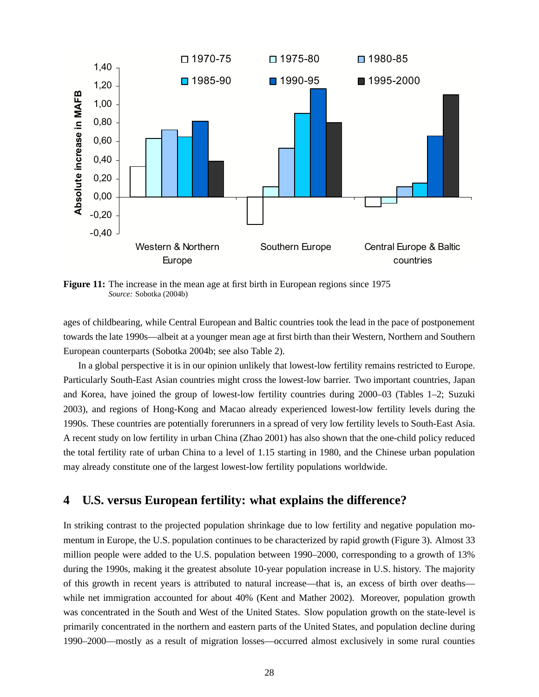

**Figure 11:** The increase in the mean age at first birth in European regions since 1975 *Source:* Sobotka (2004b)

ages of childbearing, while Central European and Baltic countries took the lead in the pace of postponement towards the late 1990s—albeit at a younger mean age at first birth than their Western, Northern and Southern European counterparts (Sobotka 2004b; see also Table 2).

In a global perspective it is in our opinion unlikely that lowest-low fertility remains restricted to Europe. Particularly South-East Asian countries might cross the lowest-low barrier. Two important countries, Japan and Korea, have joined the group of lowest-low fertility countries during 2000–03 (Tables 1–2; Suzuki 2003), and regions of Hong-Kong and Macao already experienced lowest-low fertility levels during the 1990s. These countries are potentially forerunners in a spread of very low fertility levels to South-East Asia. A recent study on low fertility in urban China (Zhao 2001) has also shown that the one-child policy reduced the total fertility rate of urban China to a level of 1.15 starting in 1980, and the Chinese urban population may already constitute one of the largest lowest-low fertility populations worldwide.

### **4 U.S. versus European fertility: what explains the difference?**

In striking contrast to the projected population shrinkage due to low fertility and negative population momentum in Europe, the U.S. population continues to be characterized by rapid growth (Figure 3). Almost 33 million people were added to the U.S. population between 1990–2000, corresponding to a growth of 13% during the 1990s, making it the greatest absolute 10-year population increase in U.S. history. The majority of this growth in recent years is attributed to natural increase—that is, an excess of birth over deaths while net immigration accounted for about 40% (Kent and Mather 2002). Moreover, population growth was concentrated in the South and West of the United States. Slow population growth on the state-level is primarily concentrated in the northern and eastern parts of the United States, and population decline during 1990–2000—mostly as a result of migration losses—occurred almost exclusively in some rural counties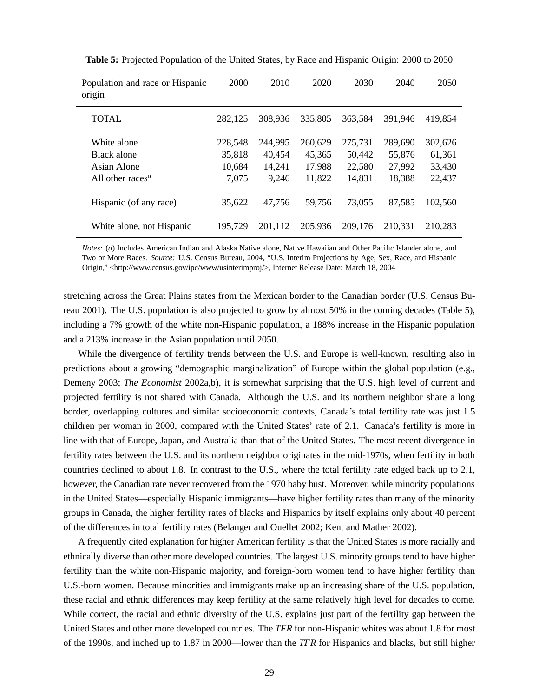| Population and race or Hispanic<br>origin | 2000    | 2010    | 2020    | 2030    | 2040    | 2050    |
|-------------------------------------------|---------|---------|---------|---------|---------|---------|
| <b>TOTAL</b>                              | 282,125 | 308,936 | 335,805 | 363,584 | 391,946 | 419,854 |
| White alone                               | 228,548 | 244,995 | 260,629 | 275,731 | 289,690 | 302,626 |
| Black alone                               | 35,818  | 40,454  | 45,365  | 50,442  | 55,876  | 61,361  |
| Asian Alone                               | 10,684  | 14,241  | 17,988  | 22,580  | 27,992  | 33,430  |
| All other races <sup><math>a</math></sup> | 7,075   | 9,246   | 11,822  | 14,831  | 18,388  | 22,437  |
| Hispanic (of any race)                    | 35,622  | 47,756  | 59,756  | 73,055  | 87,585  | 102,560 |
| White alone, not Hispanic                 | 195.729 | 201.112 | 205,936 | 209,176 | 210,331 | 210,283 |

**Table 5:** Projected Population of the United States, by Race and Hispanic Origin: 2000 to 2050

*Notes:* (*a*) Includes American Indian and Alaska Native alone, Native Hawaiian and Other Pacific Islander alone, and Two or More Races. *Source:* U.S. Census Bureau, 2004, "U.S. Interim Projections by Age, Sex, Race, and Hispanic Origin," <http://www.census.gov/ipc/www/usinterimproj/>, Internet Release Date: March 18, 2004

stretching across the Great Plains states from the Mexican border to the Canadian border (U.S. Census Bureau 2001). The U.S. population is also projected to grow by almost 50% in the coming decades (Table 5), including a 7% growth of the white non-Hispanic population, a 188% increase in the Hispanic population and a 213% increase in the Asian population until 2050.

While the divergence of fertility trends between the U.S. and Europe is well-known, resulting also in predictions about a growing "demographic marginalization" of Europe within the global population (e.g., Demeny 2003; *The Economist* 2002a,b), it is somewhat surprising that the U.S. high level of current and projected fertility is not shared with Canada. Although the U.S. and its northern neighbor share a long border, overlapping cultures and similar socioeconomic contexts, Canada's total fertility rate was just 1.5 children per woman in 2000, compared with the United States' rate of 2.1. Canada's fertility is more in line with that of Europe, Japan, and Australia than that of the United States. The most recent divergence in fertility rates between the U.S. and its northern neighbor originates in the mid-1970s, when fertility in both countries declined to about 1.8. In contrast to the U.S., where the total fertility rate edged back up to 2.1, however, the Canadian rate never recovered from the 1970 baby bust. Moreover, while minority populations in the United States—especially Hispanic immigrants—have higher fertility rates than many of the minority groups in Canada, the higher fertility rates of blacks and Hispanics by itself explains only about 40 percent of the differences in total fertility rates (Belanger and Ouellet 2002; Kent and Mather 2002).

A frequently cited explanation for higher American fertility is that the United States is more racially and ethnically diverse than other more developed countries. The largest U.S. minority groups tend to have higher fertility than the white non-Hispanic majority, and foreign-born women tend to have higher fertility than U.S.-born women. Because minorities and immigrants make up an increasing share of the U.S. population, these racial and ethnic differences may keep fertility at the same relatively high level for decades to come. While correct, the racial and ethnic diversity of the U.S. explains just part of the fertility gap between the United States and other more developed countries. The *TFR* for non-Hispanic whites was about 1.8 for most of the 1990s, and inched up to 1.87 in 2000—lower than the *TFR* for Hispanics and blacks, but still higher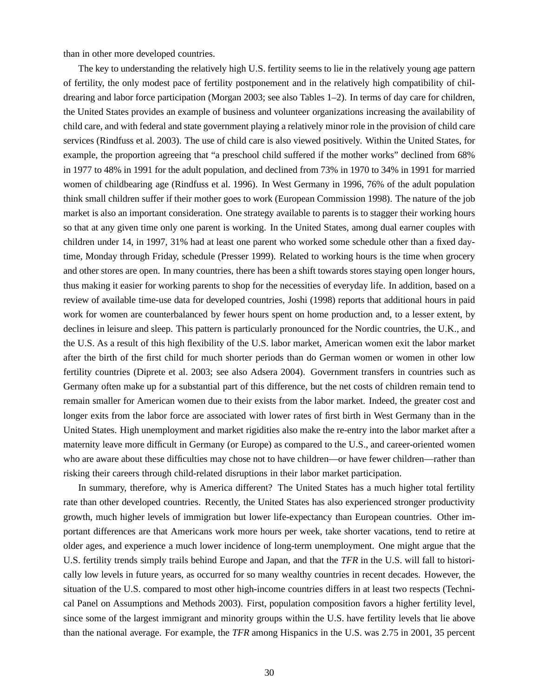than in other more developed countries.

The key to understanding the relatively high U.S. fertility seems to lie in the relatively young age pattern of fertility, the only modest pace of fertility postponement and in the relatively high compatibility of childrearing and labor force participation (Morgan 2003; see also Tables 1–2). In terms of day care for children, the United States provides an example of business and volunteer organizations increasing the availability of child care, and with federal and state government playing a relatively minor role in the provision of child care services (Rindfuss et al. 2003). The use of child care is also viewed positively. Within the United States, for example, the proportion agreeing that "a preschool child suffered if the mother works" declined from 68% in 1977 to 48% in 1991 for the adult population, and declined from 73% in 1970 to 34% in 1991 for married women of childbearing age (Rindfuss et al. 1996). In West Germany in 1996, 76% of the adult population think small children suffer if their mother goes to work (European Commission 1998). The nature of the job market is also an important consideration. One strategy available to parents is to stagger their working hours so that at any given time only one parent is working. In the United States, among dual earner couples with children under 14, in 1997, 31% had at least one parent who worked some schedule other than a fixed daytime, Monday through Friday, schedule (Presser 1999). Related to working hours is the time when grocery and other stores are open. In many countries, there has been a shift towards stores staying open longer hours, thus making it easier for working parents to shop for the necessities of everyday life. In addition, based on a review of available time-use data for developed countries, Joshi (1998) reports that additional hours in paid work for women are counterbalanced by fewer hours spent on home production and, to a lesser extent, by declines in leisure and sleep. This pattern is particularly pronounced for the Nordic countries, the U.K., and the U.S. As a result of this high flexibility of the U.S. labor market, American women exit the labor market after the birth of the first child for much shorter periods than do German women or women in other low fertility countries (Diprete et al. 2003; see also Adsera 2004). Government transfers in countries such as Germany often make up for a substantial part of this difference, but the net costs of children remain tend to remain smaller for American women due to their exists from the labor market. Indeed, the greater cost and longer exits from the labor force are associated with lower rates of first birth in West Germany than in the United States. High unemployment and market rigidities also make the re-entry into the labor market after a maternity leave more difficult in Germany (or Europe) as compared to the U.S., and career-oriented women who are aware about these difficulties may chose not to have children—or have fewer children—rather than risking their careers through child-related disruptions in their labor market participation.

In summary, therefore, why is America different? The United States has a much higher total fertility rate than other developed countries. Recently, the United States has also experienced stronger productivity growth, much higher levels of immigration but lower life-expectancy than European countries. Other important differences are that Americans work more hours per week, take shorter vacations, tend to retire at older ages, and experience a much lower incidence of long-term unemployment. One might argue that the U.S. fertility trends simply trails behind Europe and Japan, and that the *TFR* in the U.S. will fall to historically low levels in future years, as occurred for so many wealthy countries in recent decades. However, the situation of the U.S. compared to most other high-income countries differs in at least two respects (Technical Panel on Assumptions and Methods 2003). First, population composition favors a higher fertility level, since some of the largest immigrant and minority groups within the U.S. have fertility levels that lie above than the national average. For example, the *TFR* among Hispanics in the U.S. was 2.75 in 2001, 35 percent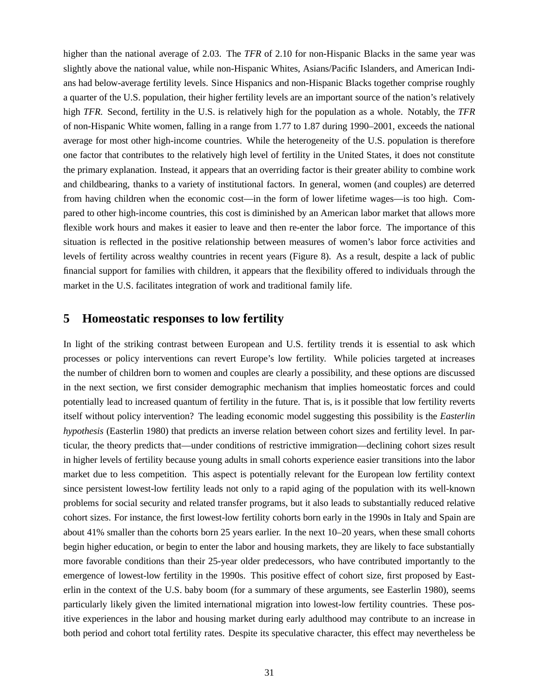higher than the national average of 2.03. The *TFR* of 2.10 for non-Hispanic Blacks in the same year was slightly above the national value, while non-Hispanic Whites, Asians/Pacific Islanders, and American Indians had below-average fertility levels. Since Hispanics and non-Hispanic Blacks together comprise roughly a quarter of the U.S. population, their higher fertility levels are an important source of the nation's relatively high *TFR*. Second, fertility in the U.S. is relatively high for the population as a whole. Notably, the *TFR* of non-Hispanic White women, falling in a range from 1.77 to 1.87 during 1990–2001, exceeds the national average for most other high-income countries. While the heterogeneity of the U.S. population is therefore one factor that contributes to the relatively high level of fertility in the United States, it does not constitute the primary explanation. Instead, it appears that an overriding factor is their greater ability to combine work and childbearing, thanks to a variety of institutional factors. In general, women (and couples) are deterred from having children when the economic cost—in the form of lower lifetime wages—is too high. Compared to other high-income countries, this cost is diminished by an American labor market that allows more flexible work hours and makes it easier to leave and then re-enter the labor force. The importance of this situation is reflected in the positive relationship between measures of women's labor force activities and levels of fertility across wealthy countries in recent years (Figure 8). As a result, despite a lack of public financial support for families with children, it appears that the flexibility offered to individuals through the market in the U.S. facilitates integration of work and traditional family life.

### **5 Homeostatic responses to low fertility**

In light of the striking contrast between European and U.S. fertility trends it is essential to ask which processes or policy interventions can revert Europe's low fertility. While policies targeted at increases the number of children born to women and couples are clearly a possibility, and these options are discussed in the next section, we first consider demographic mechanism that implies homeostatic forces and could potentially lead to increased quantum of fertility in the future. That is, is it possible that low fertility reverts itself without policy intervention? The leading economic model suggesting this possibility is the *Easterlin hypothesis* (Easterlin 1980) that predicts an inverse relation between cohort sizes and fertility level. In particular, the theory predicts that—under conditions of restrictive immigration—declining cohort sizes result in higher levels of fertility because young adults in small cohorts experience easier transitions into the labor market due to less competition. This aspect is potentially relevant for the European low fertility context since persistent lowest-low fertility leads not only to a rapid aging of the population with its well-known problems for social security and related transfer programs, but it also leads to substantially reduced relative cohort sizes. For instance, the first lowest-low fertility cohorts born early in the 1990s in Italy and Spain are about 41% smaller than the cohorts born 25 years earlier. In the next 10–20 years, when these small cohorts begin higher education, or begin to enter the labor and housing markets, they are likely to face substantially more favorable conditions than their 25-year older predecessors, who have contributed importantly to the emergence of lowest-low fertility in the 1990s. This positive effect of cohort size, first proposed by Easterlin in the context of the U.S. baby boom (for a summary of these arguments, see Easterlin 1980), seems particularly likely given the limited international migration into lowest-low fertility countries. These positive experiences in the labor and housing market during early adulthood may contribute to an increase in both period and cohort total fertility rates. Despite its speculative character, this effect may nevertheless be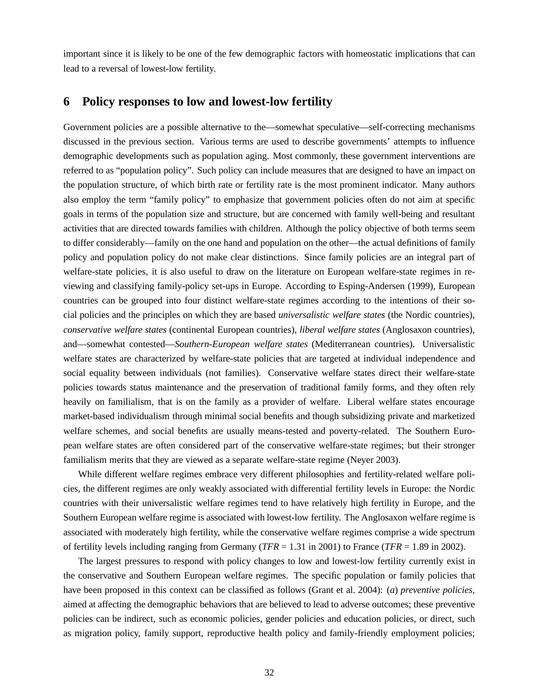important since it is likely to be one of the few demographic factors with homeostatic implications that can lead to a reversal of lowest-low fertility.

### **6 Policy responses to low and lowest-low fertility**

Government policies are a possible alternative to the—somewhat speculative—self-correcting mechanisms discussed in the previous section. Various terms are used to describe governments' attempts to influence demographic developments such as population aging. Most commonly, these government interventions are referred to as "population policy". Such policy can include measures that are designed to have an impact on the population structure, of which birth rate or fertility rate is the most prominent indicator. Many authors also employ the term "family policy" to emphasize that government policies often do not aim at specific goals in terms of the population size and structure, but are concerned with family well-being and resultant activities that are directed towards families with children. Although the policy objective of both terms seem to differ considerably—family on the one hand and population on the other—the actual definitions of family policy and population policy do not make clear distinctions. Since family policies are an integral part of welfare-state policies, it is also useful to draw on the literature on European welfare-state regimes in reviewing and classifying family-policy set-ups in Europe. According to Esping-Andersen (1999), European countries can be grouped into four distinct welfare-state regimes according to the intentions of their social policies and the principles on which they are based *universalistic welfare states* (the Nordic countries), *conservative welfare states* (continental European countries), *liberal welfare states* (Anglosaxon countries), and—somewhat contested—*Southern-European welfare states* (Mediterranean countries). Universalistic welfare states are characterized by welfare-state policies that are targeted at individual independence and social equality between individuals (not families). Conservative welfare states direct their welfare-state policies towards status maintenance and the preservation of traditional family forms, and they often rely heavily on familialism, that is on the family as a provider of welfare. Liberal welfare states encourage market-based individualism through minimal social benefits and though subsidizing private and marketized welfare schemes, and social benefits are usually means-tested and poverty-related. The Southern European welfare states are often considered part of the conservative welfare-state regimes; but their stronger familialism merits that they are viewed as a separate welfare-state regime (Neyer 2003).

While different welfare regimes embrace very different philosophies and fertility-related welfare policies, the different regimes are only weakly associated with differential fertility levels in Europe: the Nordic countries with their universalistic welfare regimes tend to have relatively high fertility in Europe, and the Southern European welfare regime is associated with lowest-low fertility. The Anglosaxon welfare regime is associated with moderately high fertility, while the conservative welfare regimes comprise a wide spectrum of fertility levels including ranging from Germany (*TFR* = 1.31 in 2001) to France (*TFR* = 1.89 in 2002).

The largest pressures to respond with policy changes to low and lowest-low fertility currently exist in the conservative and Southern European welfare regimes. The specific population or family policies that have been proposed in this context can be classified as follows (Grant et al. 2004): (*a*) *preventive policies*, aimed at affecting the demographic behaviors that are believed to lead to adverse outcomes; these preventive policies can be indirect, such as economic policies, gender policies and education policies, or direct, such as migration policy, family support, reproductive health policy and family-friendly employment policies;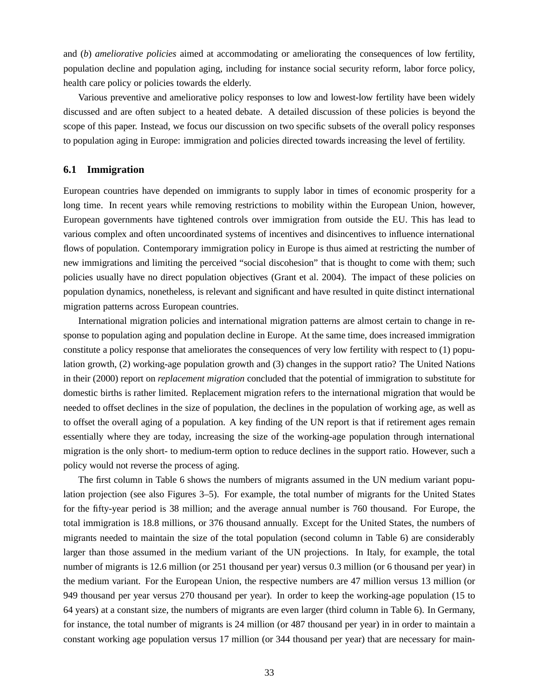and (*b*) *ameliorative policies* aimed at accommodating or ameliorating the consequences of low fertility, population decline and population aging, including for instance social security reform, labor force policy, health care policy or policies towards the elderly.

Various preventive and ameliorative policy responses to low and lowest-low fertility have been widely discussed and are often subject to a heated debate. A detailed discussion of these policies is beyond the scope of this paper. Instead, we focus our discussion on two specific subsets of the overall policy responses to population aging in Europe: immigration and policies directed towards increasing the level of fertility.

#### **6.1 Immigration**

European countries have depended on immigrants to supply labor in times of economic prosperity for a long time. In recent years while removing restrictions to mobility within the European Union, however, European governments have tightened controls over immigration from outside the EU. This has lead to various complex and often uncoordinated systems of incentives and disincentives to influence international flows of population. Contemporary immigration policy in Europe is thus aimed at restricting the number of new immigrations and limiting the perceived "social discohesion" that is thought to come with them; such policies usually have no direct population objectives (Grant et al. 2004). The impact of these policies on population dynamics, nonetheless, is relevant and significant and have resulted in quite distinct international migration patterns across European countries.

International migration policies and international migration patterns are almost certain to change in response to population aging and population decline in Europe. At the same time, does increased immigration constitute a policy response that ameliorates the consequences of very low fertility with respect to (1) population growth, (2) working-age population growth and (3) changes in the support ratio? The United Nations in their (2000) report on *replacement migration* concluded that the potential of immigration to substitute for domestic births is rather limited. Replacement migration refers to the international migration that would be needed to offset declines in the size of population, the declines in the population of working age, as well as to offset the overall aging of a population. A key finding of the UN report is that if retirement ages remain essentially where they are today, increasing the size of the working-age population through international migration is the only short- to medium-term option to reduce declines in the support ratio. However, such a policy would not reverse the process of aging.

The first column in Table 6 shows the numbers of migrants assumed in the UN medium variant population projection (see also Figures 3–5). For example, the total number of migrants for the United States for the fifty-year period is 38 million; and the average annual number is 760 thousand. For Europe, the total immigration is 18.8 millions, or 376 thousand annually. Except for the United States, the numbers of migrants needed to maintain the size of the total population (second column in Table 6) are considerably larger than those assumed in the medium variant of the UN projections. In Italy, for example, the total number of migrants is 12.6 million (or 251 thousand per year) versus 0.3 million (or 6 thousand per year) in the medium variant. For the European Union, the respective numbers are 47 million versus 13 million (or 949 thousand per year versus 270 thousand per year). In order to keep the working-age population (15 to 64 years) at a constant size, the numbers of migrants are even larger (third column in Table 6). In Germany, for instance, the total number of migrants is 24 million (or 487 thousand per year) in in order to maintain a constant working age population versus 17 million (or 344 thousand per year) that are necessary for main-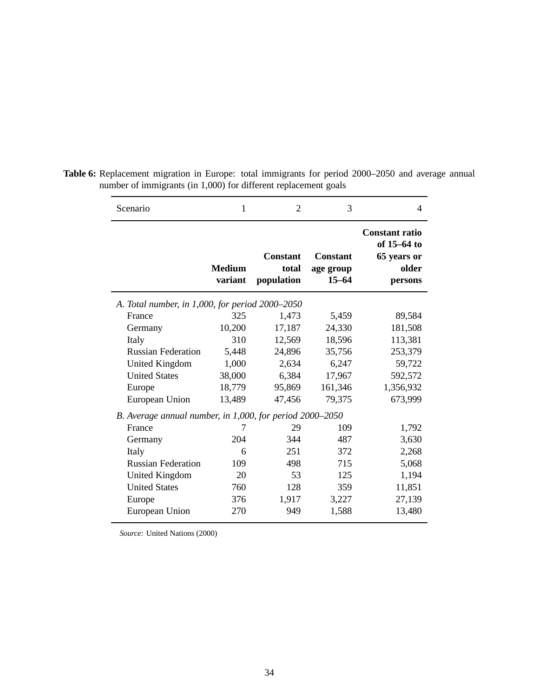| Scenario                                                      | 1                        | $\overline{2}$                         | 3                                  | $\overline{4}$                                                          |
|---------------------------------------------------------------|--------------------------|----------------------------------------|------------------------------------|-------------------------------------------------------------------------|
|                                                               | <b>Medium</b><br>variant | <b>Constant</b><br>total<br>population | Constant<br>age group<br>$15 - 64$ | <b>Constant ratio</b><br>of 15-64 to<br>65 years or<br>older<br>persons |
| A. Total number, in $1,000$ , for period $2000-2050$          |                          |                                        |                                    |                                                                         |
| France                                                        | 325                      | 1,473                                  | 5,459                              | 89,584                                                                  |
| Germany                                                       | 10,200                   | 17,187                                 | 24,330                             | 181,508                                                                 |
| Italy                                                         | 310                      | 12,569                                 | 18,596                             | 113,381                                                                 |
| <b>Russian Federation</b>                                     | 5,448                    | 24,896                                 | 35,756                             | 253,379                                                                 |
| <b>United Kingdom</b>                                         | 1,000                    | 2,634                                  | 6,247                              | 59,722                                                                  |
| <b>United States</b>                                          | 38,000                   | 6,384                                  | 17,967                             | 592,572                                                                 |
| Europe                                                        | 18,779                   | 95,869                                 | 161,346                            | 1,356,932                                                               |
| European Union                                                | 13,489                   | 47,456                                 | 79,375                             | 673,999                                                                 |
| B. Average annual number, in $1,000$ , for period $2000-2050$ |                          |                                        |                                    |                                                                         |
| France                                                        | 7                        | 29                                     | 109                                | 1,792                                                                   |
| Germany                                                       | 204                      | 344                                    | 487                                | 3,630                                                                   |
| Italy                                                         | 6                        | 251                                    | 372                                | 2,268                                                                   |
| <b>Russian Federation</b>                                     | 109                      | 498                                    | 715                                | 5,068                                                                   |
| <b>United Kingdom</b>                                         | 20                       | 53                                     | 125                                | 1,194                                                                   |
| <b>United States</b>                                          | 760                      | 128                                    | 359                                | 11,851                                                                  |
| Europe                                                        | 376                      | 1,917                                  | 3,227                              | 27,139                                                                  |
| European Union                                                | 270                      | 949                                    | 1,588                              | 13,480                                                                  |

**Table 6:** Replacement migration in Europe: total immigrants for period 2000–2050 and average annual number of immigrants (in 1,000) for different replacement goals

*Source:* United Nations (2000)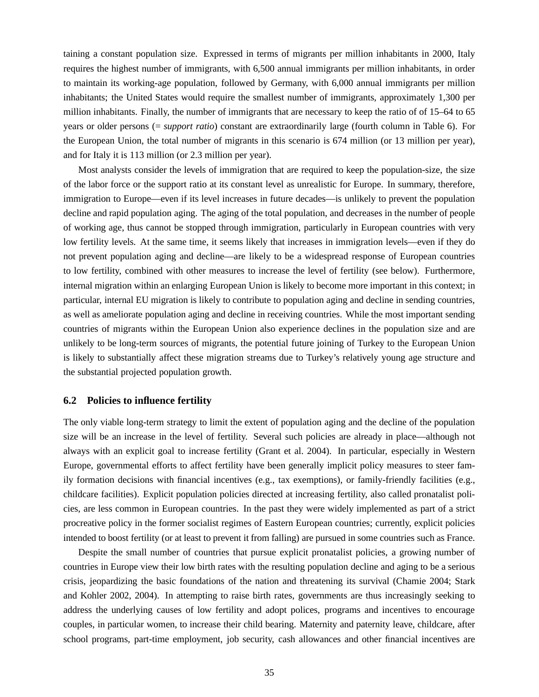taining a constant population size. Expressed in terms of migrants per million inhabitants in 2000, Italy requires the highest number of immigrants, with 6,500 annual immigrants per million inhabitants, in order to maintain its working-age population, followed by Germany, with 6,000 annual immigrants per million inhabitants; the United States would require the smallest number of immigrants, approximately 1,300 per million inhabitants. Finally, the number of immigrants that are necessary to keep the ratio of of 15–64 to 65 years or older persons (= *support ratio*) constant are extraordinarily large (fourth column in Table 6). For the European Union, the total number of migrants in this scenario is 674 million (or 13 million per year), and for Italy it is 113 million (or 2.3 million per year).

Most analysts consider the levels of immigration that are required to keep the population-size, the size of the labor force or the support ratio at its constant level as unrealistic for Europe. In summary, therefore, immigration to Europe—even if its level increases in future decades—is unlikely to prevent the population decline and rapid population aging. The aging of the total population, and decreases in the number of people of working age, thus cannot be stopped through immigration, particularly in European countries with very low fertility levels. At the same time, it seems likely that increases in immigration levels—even if they do not prevent population aging and decline—are likely to be a widespread response of European countries to low fertility, combined with other measures to increase the level of fertility (see below). Furthermore, internal migration within an enlarging European Union is likely to become more important in this context; in particular, internal EU migration is likely to contribute to population aging and decline in sending countries, as well as ameliorate population aging and decline in receiving countries. While the most important sending countries of migrants within the European Union also experience declines in the population size and are unlikely to be long-term sources of migrants, the potential future joining of Turkey to the European Union is likely to substantially affect these migration streams due to Turkey's relatively young age structure and the substantial projected population growth.

#### **6.2 Policies to influence fertility**

The only viable long-term strategy to limit the extent of population aging and the decline of the population size will be an increase in the level of fertility. Several such policies are already in place—although not always with an explicit goal to increase fertility (Grant et al. 2004). In particular, especially in Western Europe, governmental efforts to affect fertility have been generally implicit policy measures to steer family formation decisions with financial incentives (e.g., tax exemptions), or family-friendly facilities (e.g., childcare facilities). Explicit population policies directed at increasing fertility, also called pronatalist policies, are less common in European countries. In the past they were widely implemented as part of a strict procreative policy in the former socialist regimes of Eastern European countries; currently, explicit policies intended to boost fertility (or at least to prevent it from falling) are pursued in some countries such as France.

Despite the small number of countries that pursue explicit pronatalist policies, a growing number of countries in Europe view their low birth rates with the resulting population decline and aging to be a serious crisis, jeopardizing the basic foundations of the nation and threatening its survival (Chamie 2004; Stark and Kohler 2002, 2004). In attempting to raise birth rates, governments are thus increasingly seeking to address the underlying causes of low fertility and adopt polices, programs and incentives to encourage couples, in particular women, to increase their child bearing. Maternity and paternity leave, childcare, after school programs, part-time employment, job security, cash allowances and other financial incentives are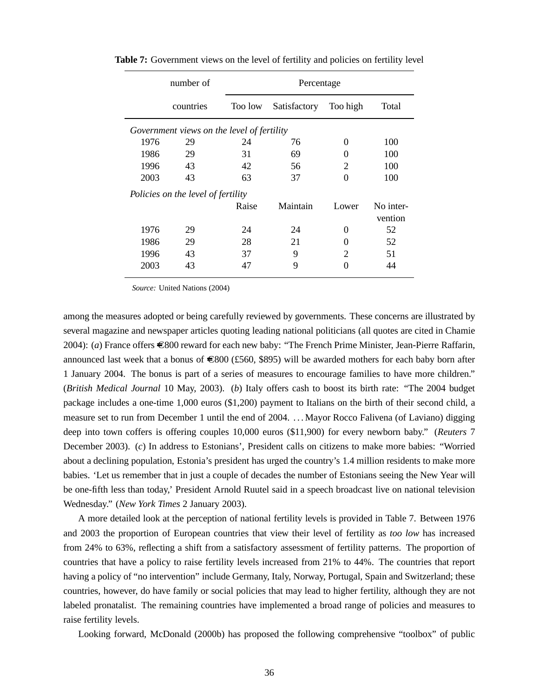|      | number of                                  |         | Percentage   |          |           |
|------|--------------------------------------------|---------|--------------|----------|-----------|
|      | countries                                  | Too low | Satisfactory | Too high | Total     |
|      | Government views on the level of fertility |         |              |          |           |
| 1976 | 29                                         | 24      | 76           | $\Omega$ | 100       |
| 1986 | 29                                         | 31      | 69           | 0        | 100       |
| 1996 | 43                                         | 42      | 56           | 2        | 100       |
| 2003 | 43                                         | 63      | 37           | 0        | 100       |
|      | Policies on the level of fertility         |         |              |          |           |
|      |                                            | Raise   | Maintain     | Lower    | No inter- |
|      |                                            |         |              |          | vention   |
| 1976 | 29                                         | 24      | 24           | $\Omega$ | 52        |
| 1986 | 29                                         | 28      | 21           | 0        | 52        |
| 1996 | 43                                         | 37      | 9            | 2        | 51        |
| 2003 | 43                                         | 47      | 9            | 0        | 44        |

**Table 7:** Government views on the level of fertility and policies on fertility level

*Source:* United Nations (2004)

among the measures adopted or being carefully reviewed by governments. These concerns are illustrated by several magazine and newspaper articles quoting leading national politicians (all quotes are cited in Chamie 2004): (*a*) France offers C800 reward for each new baby: "The French Prime Minister, Jean-Pierre Raffarin, announced last week that a bonus of  $\epsilon$ 800 (£560, \$895) will be awarded mothers for each baby born after 1 January 2004. The bonus is part of a series of measures to encourage families to have more children." (*British Medical Journal* 10 May, 2003). (*b*) Italy offers cash to boost its birth rate: "The 2004 budget package includes a one-time 1,000 euros (\$1,200) payment to Italians on the birth of their second child, a measure set to run from December 1 until the end of 2004. . . . Mayor Rocco Falivena (of Laviano) digging deep into town coffers is offering couples 10,000 euros (\$11,900) for every newborn baby." (*Reuters* 7 December 2003). (*c*) In address to Estonians', President calls on citizens to make more babies: "Worried about a declining population, Estonia's president has urged the country's 1.4 million residents to make more babies. 'Let us remember that in just a couple of decades the number of Estonians seeing the New Year will be one-fifth less than today,' President Arnold Ruutel said in a speech broadcast live on national television Wednesday." (*New York Times* 2 January 2003).

A more detailed look at the perception of national fertility levels is provided in Table 7. Between 1976 and 2003 the proportion of European countries that view their level of fertility as *too low* has increased from 24% to 63%, reflecting a shift from a satisfactory assessment of fertility patterns. The proportion of countries that have a policy to raise fertility levels increased from 21% to 44%. The countries that report having a policy of "no intervention" include Germany, Italy, Norway, Portugal, Spain and Switzerland; these countries, however, do have family or social policies that may lead to higher fertility, although they are not labeled pronatalist. The remaining countries have implemented a broad range of policies and measures to raise fertility levels.

Looking forward, McDonald (2000b) has proposed the following comprehensive "toolbox" of public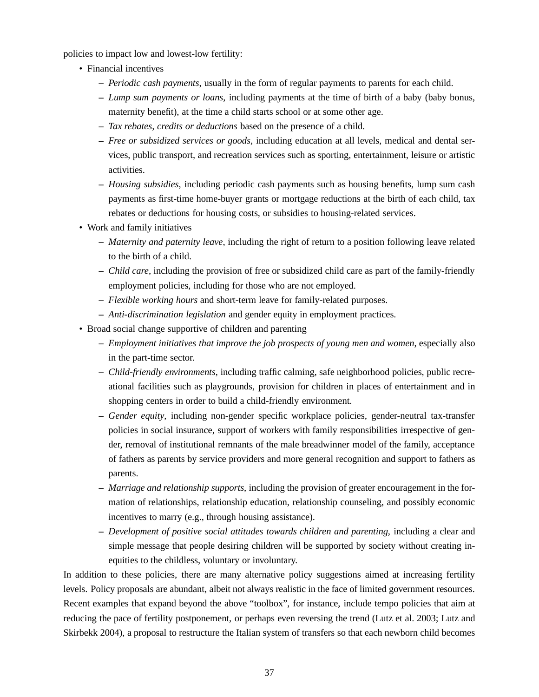policies to impact low and lowest-low fertility:

- Financial incentives
	- **–** *Periodic cash payments*, usually in the form of regular payments to parents for each child.
	- **–** *Lump sum payments or loans*, including payments at the time of birth of a baby (baby bonus, maternity benefit), at the time a child starts school or at some other age.
	- **–** *Tax rebates, credits or deductions* based on the presence of a child.
	- **–** *Free or subsidized services or goods*, including education at all levels, medical and dental services, public transport, and recreation services such as sporting, entertainment, leisure or artistic activities.
	- **–** *Housing subsidies*, including periodic cash payments such as housing benefits, lump sum cash payments as first-time home-buyer grants or mortgage reductions at the birth of each child, tax rebates or deductions for housing costs, or subsidies to housing-related services.
- Work and family initiatives
	- **–** *Maternity and paternity leave*, including the right of return to a position following leave related to the birth of a child.
	- **–** *Child care*, including the provision of free or subsidized child care as part of the family-friendly employment policies, including for those who are not employed.
	- **–** *Flexible working hours* and short-term leave for family-related purposes.
	- **–** *Anti-discrimination legislation* and gender equity in employment practices.
- Broad social change supportive of children and parenting
	- **–** *Employment initiatives that improve the job prospects of young men and women*, especially also in the part-time sector.
	- **–** *Child-friendly environments*, including traffic calming, safe neighborhood policies, public recreational facilities such as playgrounds, provision for children in places of entertainment and in shopping centers in order to build a child-friendly environment.
	- **–** *Gender equity*, including non-gender specific workplace policies, gender-neutral tax-transfer policies in social insurance, support of workers with family responsibilities irrespective of gender, removal of institutional remnants of the male breadwinner model of the family, acceptance of fathers as parents by service providers and more general recognition and support to fathers as parents.
	- **–** *Marriage and relationship supports*, including the provision of greater encouragement in the formation of relationships, relationship education, relationship counseling, and possibly economic incentives to marry (e.g., through housing assistance).
	- **–** *Development of positive social attitudes towards children and parenting*, including a clear and simple message that people desiring children will be supported by society without creating inequities to the childless, voluntary or involuntary.

In addition to these policies, there are many alternative policy suggestions aimed at increasing fertility levels. Policy proposals are abundant, albeit not always realistic in the face of limited government resources. Recent examples that expand beyond the above "toolbox", for instance, include tempo policies that aim at reducing the pace of fertility postponement, or perhaps even reversing the trend (Lutz et al. 2003; Lutz and Skirbekk 2004), a proposal to restructure the Italian system of transfers so that each newborn child becomes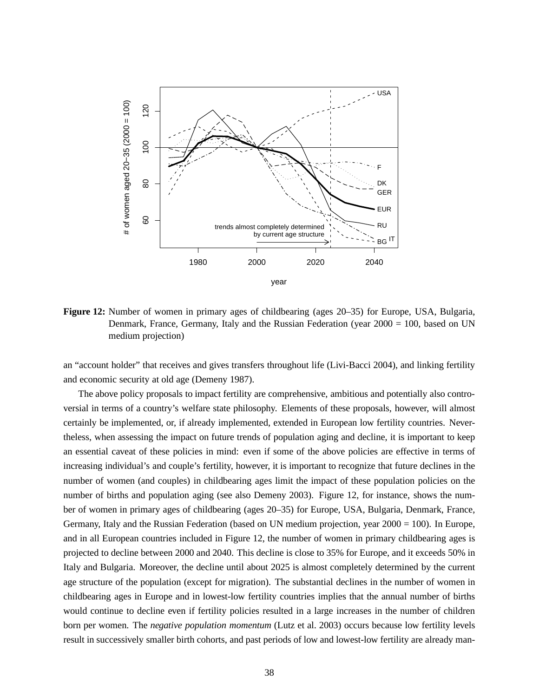

**Figure 12:** Number of women in primary ages of childbearing (ages 20–35) for Europe, USA, Bulgaria, Denmark, France, Germany, Italy and the Russian Federation (year 2000 = 100, based on UN medium projection)

an "account holder" that receives and gives transfers throughout life (Livi-Bacci 2004), and linking fertility and economic security at old age (Demeny 1987).

The above policy proposals to impact fertility are comprehensive, ambitious and potentially also controversial in terms of a country's welfare state philosophy. Elements of these proposals, however, will almost certainly be implemented, or, if already implemented, extended in European low fertility countries. Nevertheless, when assessing the impact on future trends of population aging and decline, it is important to keep an essential caveat of these policies in mind: even if some of the above policies are effective in terms of increasing individual's and couple's fertility, however, it is important to recognize that future declines in the number of women (and couples) in childbearing ages limit the impact of these population policies on the number of births and population aging (see also Demeny 2003). Figure 12, for instance, shows the number of women in primary ages of childbearing (ages 20–35) for Europe, USA, Bulgaria, Denmark, France, Germany, Italy and the Russian Federation (based on UN medium projection, year 2000 = 100). In Europe, and in all European countries included in Figure 12, the number of women in primary childbearing ages is projected to decline between 2000 and 2040. This decline is close to 35% for Europe, and it exceeds 50% in Italy and Bulgaria. Moreover, the decline until about 2025 is almost completely determined by the current age structure of the population (except for migration). The substantial declines in the number of women in childbearing ages in Europe and in lowest-low fertility countries implies that the annual number of births would continue to decline even if fertility policies resulted in a large increases in the number of children born per women. The *negative population momentum* (Lutz et al. 2003) occurs because low fertility levels result in successively smaller birth cohorts, and past periods of low and lowest-low fertility are already man-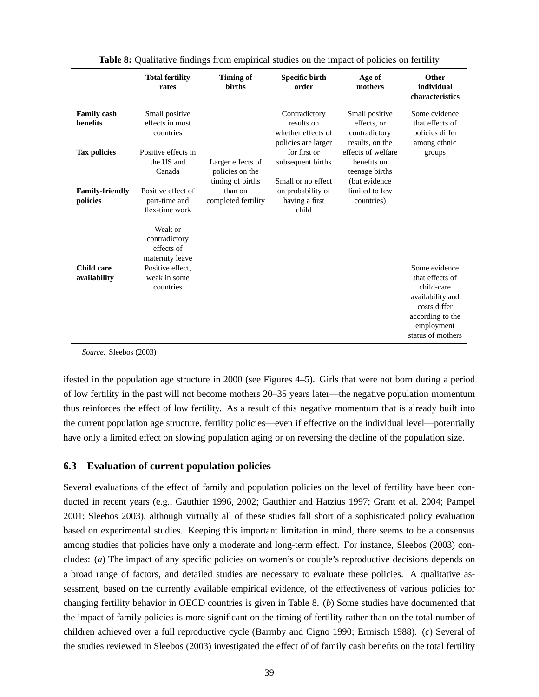|                                    | <b>Total fertility</b><br>rates                                                                            | <b>Timing of</b><br><b>births</b>                        | <b>Specific birth</b><br>order                                           | Age of<br>mothers                                                     | <b>Other</b><br>individual<br>characteristics                                                                                             |
|------------------------------------|------------------------------------------------------------------------------------------------------------|----------------------------------------------------------|--------------------------------------------------------------------------|-----------------------------------------------------------------------|-------------------------------------------------------------------------------------------------------------------------------------------|
| <b>Family cash</b><br>benefits     | Small positive<br>effects in most<br>countries                                                             |                                                          | Contradictory<br>results on<br>whether effects of<br>policies are larger | Small positive<br>effects, or<br>contradictory<br>results, on the     | Some evidence<br>that effects of<br>policies differ<br>among ethnic                                                                       |
| <b>Tax policies</b>                | Positive effects in<br>the US and<br>Canada                                                                | Larger effects of<br>policies on the<br>timing of births | for first or<br>subsequent births<br>Small or no effect                  | effects of welfare<br>benefits on<br>teenage births<br>(but evidence) | groups                                                                                                                                    |
| <b>Family-friendly</b><br>policies | Positive effect of<br>part-time and<br>flex-time work                                                      | than on<br>completed fertility                           | on probability of<br>having a first<br>child                             | limited to few<br>countries)                                          |                                                                                                                                           |
| Child care<br>availability         | Weak or<br>contradictory<br>effects of<br>maternity leave<br>Positive effect.<br>weak in some<br>countries |                                                          |                                                                          |                                                                       | Some evidence<br>that effects of<br>child-care<br>availability and<br>costs differ<br>according to the<br>employment<br>status of mothers |

|  |  |  |  |  | Table 8: Qualitative findings from empirical studies on the impact of policies on fertility |  |  |
|--|--|--|--|--|---------------------------------------------------------------------------------------------|--|--|
|--|--|--|--|--|---------------------------------------------------------------------------------------------|--|--|

*Source:* Sleebos (2003)

ifested in the population age structure in 2000 (see Figures 4–5). Girls that were not born during a period of low fertility in the past will not become mothers 20–35 years later—the negative population momentum thus reinforces the effect of low fertility. As a result of this negative momentum that is already built into the current population age structure, fertility policies—even if effective on the individual level—potentially have only a limited effect on slowing population aging or on reversing the decline of the population size.

#### **6.3 Evaluation of current population policies**

Several evaluations of the effect of family and population policies on the level of fertility have been conducted in recent years (e.g., Gauthier 1996, 2002; Gauthier and Hatzius 1997; Grant et al. 2004; Pampel 2001; Sleebos 2003), although virtually all of these studies fall short of a sophisticated policy evaluation based on experimental studies. Keeping this important limitation in mind, there seems to be a consensus among studies that policies have only a moderate and long-term effect. For instance, Sleebos (2003) concludes: (*a*) The impact of any specific policies on women's or couple's reproductive decisions depends on a broad range of factors, and detailed studies are necessary to evaluate these policies. A qualitative assessment, based on the currently available empirical evidence, of the effectiveness of various policies for changing fertility behavior in OECD countries is given in Table 8. (*b*) Some studies have documented that the impact of family policies is more significant on the timing of fertility rather than on the total number of children achieved over a full reproductive cycle (Barmby and Cigno 1990; Ermisch 1988). (*c*) Several of the studies reviewed in Sleebos (2003) investigated the effect of of family cash benefits on the total fertility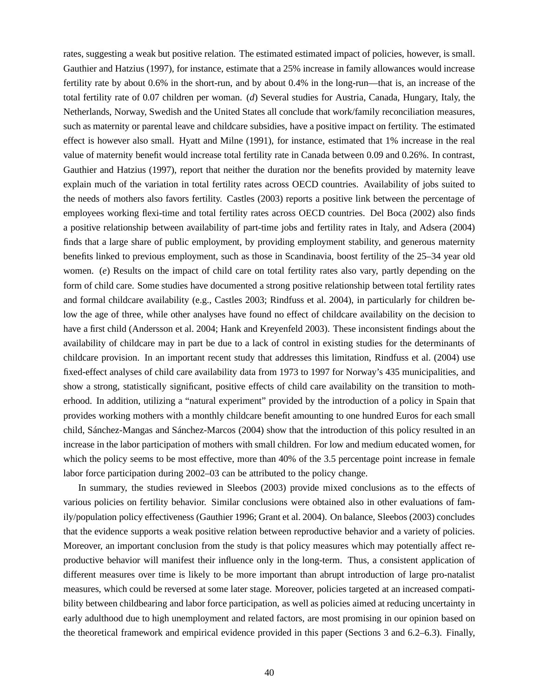rates, suggesting a weak but positive relation. The estimated estimated impact of policies, however, is small. Gauthier and Hatzius (1997), for instance, estimate that a 25% increase in family allowances would increase fertility rate by about 0.6% in the short-run, and by about 0.4% in the long-run—that is, an increase of the total fertility rate of 0.07 children per woman. (*d*) Several studies for Austria, Canada, Hungary, Italy, the Netherlands, Norway, Swedish and the United States all conclude that work/family reconciliation measures, such as maternity or parental leave and childcare subsidies, have a positive impact on fertility. The estimated effect is however also small. Hyatt and Milne (1991), for instance, estimated that 1% increase in the real value of maternity benefit would increase total fertility rate in Canada between 0.09 and 0.26%. In contrast, Gauthier and Hatzius (1997), report that neither the duration nor the benefits provided by maternity leave explain much of the variation in total fertility rates across OECD countries. Availability of jobs suited to the needs of mothers also favors fertility. Castles (2003) reports a positive link between the percentage of employees working flexi-time and total fertility rates across OECD countries. Del Boca (2002) also finds a positive relationship between availability of part-time jobs and fertility rates in Italy, and Adsera (2004) finds that a large share of public employment, by providing employment stability, and generous maternity benefits linked to previous employment, such as those in Scandinavia, boost fertility of the 25–34 year old women. (*e*) Results on the impact of child care on total fertility rates also vary, partly depending on the form of child care. Some studies have documented a strong positive relationship between total fertility rates and formal childcare availability (e.g., Castles 2003; Rindfuss et al. 2004), in particularly for children below the age of three, while other analyses have found no effect of childcare availability on the decision to have a first child (Andersson et al. 2004; Hank and Kreyenfeld 2003). These inconsistent findings about the availability of childcare may in part be due to a lack of control in existing studies for the determinants of childcare provision. In an important recent study that addresses this limitation, Rindfuss et al. (2004) use fixed-effect analyses of child care availability data from 1973 to 1997 for Norway's 435 municipalities, and show a strong, statistically significant, positive effects of child care availability on the transition to motherhood. In addition, utilizing a "natural experiment" provided by the introduction of a policy in Spain that provides working mothers with a monthly childcare benefit amounting to one hundred Euros for each small child, Sánchez-Mangas and Sánchez-Marcos (2004) show that the introduction of this policy resulted in an increase in the labor participation of mothers with small children. For low and medium educated women, for which the policy seems to be most effective, more than 40% of the 3.5 percentage point increase in female labor force participation during 2002–03 can be attributed to the policy change.

In summary, the studies reviewed in Sleebos (2003) provide mixed conclusions as to the effects of various policies on fertility behavior. Similar conclusions were obtained also in other evaluations of family/population policy effectiveness (Gauthier 1996; Grant et al. 2004). On balance, Sleebos (2003) concludes that the evidence supports a weak positive relation between reproductive behavior and a variety of policies. Moreover, an important conclusion from the study is that policy measures which may potentially affect reproductive behavior will manifest their influence only in the long-term. Thus, a consistent application of different measures over time is likely to be more important than abrupt introduction of large pro-natalist measures, which could be reversed at some later stage. Moreover, policies targeted at an increased compatibility between childbearing and labor force participation, as well as policies aimed at reducing uncertainty in early adulthood due to high unemployment and related factors, are most promising in our opinion based on the theoretical framework and empirical evidence provided in this paper (Sections 3 and 6.2–6.3). Finally,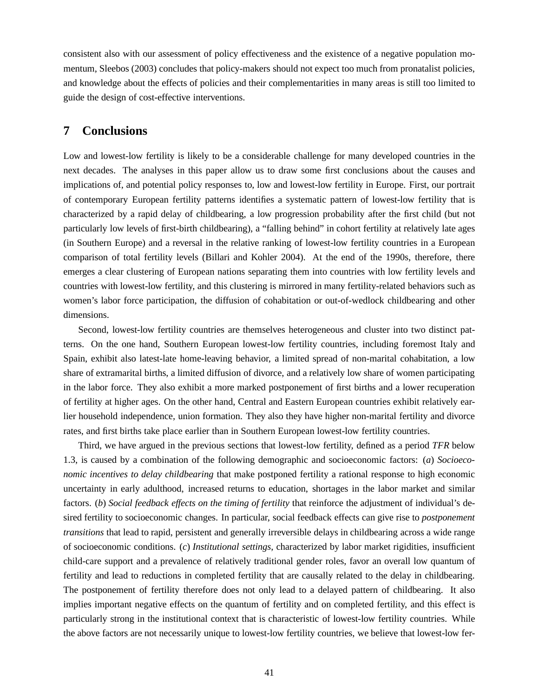consistent also with our assessment of policy effectiveness and the existence of a negative population momentum, Sleebos (2003) concludes that policy-makers should not expect too much from pronatalist policies, and knowledge about the effects of policies and their complementarities in many areas is still too limited to guide the design of cost-effective interventions.

### **7 Conclusions**

Low and lowest-low fertility is likely to be a considerable challenge for many developed countries in the next decades. The analyses in this paper allow us to draw some first conclusions about the causes and implications of, and potential policy responses to, low and lowest-low fertility in Europe. First, our portrait of contemporary European fertility patterns identifies a systematic pattern of lowest-low fertility that is characterized by a rapid delay of childbearing, a low progression probability after the first child (but not particularly low levels of first-birth childbearing), a "falling behind" in cohort fertility at relatively late ages (in Southern Europe) and a reversal in the relative ranking of lowest-low fertility countries in a European comparison of total fertility levels (Billari and Kohler 2004). At the end of the 1990s, therefore, there emerges a clear clustering of European nations separating them into countries with low fertility levels and countries with lowest-low fertility, and this clustering is mirrored in many fertility-related behaviors such as women's labor force participation, the diffusion of cohabitation or out-of-wedlock childbearing and other dimensions.

Second, lowest-low fertility countries are themselves heterogeneous and cluster into two distinct patterns. On the one hand, Southern European lowest-low fertility countries, including foremost Italy and Spain, exhibit also latest-late home-leaving behavior, a limited spread of non-marital cohabitation, a low share of extramarital births, a limited diffusion of divorce, and a relatively low share of women participating in the labor force. They also exhibit a more marked postponement of first births and a lower recuperation of fertility at higher ages. On the other hand, Central and Eastern European countries exhibit relatively earlier household independence, union formation. They also they have higher non-marital fertility and divorce rates, and first births take place earlier than in Southern European lowest-low fertility countries.

Third, we have argued in the previous sections that lowest-low fertility, defined as a period *TFR* below 1.3, is caused by a combination of the following demographic and socioeconomic factors: (*a*) *Socioeconomic incentives to delay childbearing* that make postponed fertility a rational response to high economic uncertainty in early adulthood, increased returns to education, shortages in the labor market and similar factors. (*b*) *Social feedback effects on the timing of fertility* that reinforce the adjustment of individual's desired fertility to socioeconomic changes. In particular, social feedback effects can give rise to *postponement transitions* that lead to rapid, persistent and generally irreversible delays in childbearing across a wide range of socioeconomic conditions. (*c*) *Institutional settings*, characterized by labor market rigidities, insufficient child-care support and a prevalence of relatively traditional gender roles, favor an overall low quantum of fertility and lead to reductions in completed fertility that are causally related to the delay in childbearing. The postponement of fertility therefore does not only lead to a delayed pattern of childbearing. It also implies important negative effects on the quantum of fertility and on completed fertility, and this effect is particularly strong in the institutional context that is characteristic of lowest-low fertility countries. While the above factors are not necessarily unique to lowest-low fertility countries, we believe that lowest-low fer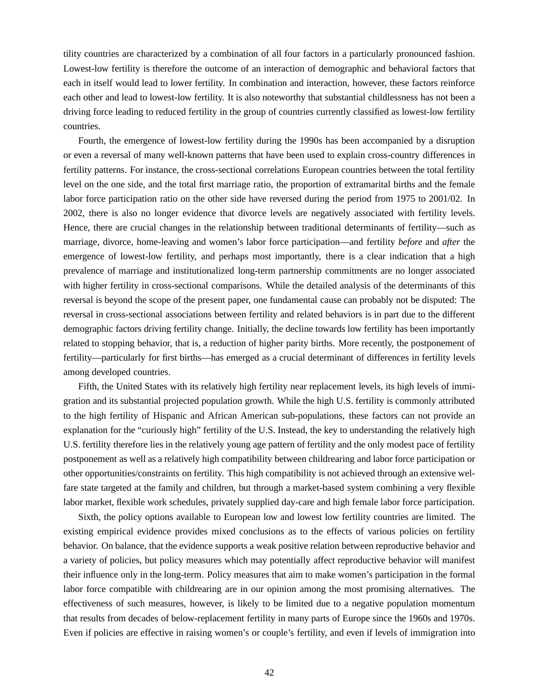tility countries are characterized by a combination of all four factors in a particularly pronounced fashion. Lowest-low fertility is therefore the outcome of an interaction of demographic and behavioral factors that each in itself would lead to lower fertility. In combination and interaction, however, these factors reinforce each other and lead to lowest-low fertility. It is also noteworthy that substantial childlessness has not been a driving force leading to reduced fertility in the group of countries currently classified as lowest-low fertility countries.

Fourth, the emergence of lowest-low fertility during the 1990s has been accompanied by a disruption or even a reversal of many well-known patterns that have been used to explain cross-country differences in fertility patterns. For instance, the cross-sectional correlations European countries between the total fertility level on the one side, and the total first marriage ratio, the proportion of extramarital births and the female labor force participation ratio on the other side have reversed during the period from 1975 to 2001/02. In 2002, there is also no longer evidence that divorce levels are negatively associated with fertility levels. Hence, there are crucial changes in the relationship between traditional determinants of fertility—such as marriage, divorce, home-leaving and women's labor force participation—and fertility *before* and *after* the emergence of lowest-low fertility, and perhaps most importantly, there is a clear indication that a high prevalence of marriage and institutionalized long-term partnership commitments are no longer associated with higher fertility in cross-sectional comparisons. While the detailed analysis of the determinants of this reversal is beyond the scope of the present paper, one fundamental cause can probably not be disputed: The reversal in cross-sectional associations between fertility and related behaviors is in part due to the different demographic factors driving fertility change. Initially, the decline towards low fertility has been importantly related to stopping behavior, that is, a reduction of higher parity births. More recently, the postponement of fertility—particularly for first births—has emerged as a crucial determinant of differences in fertility levels among developed countries.

Fifth, the United States with its relatively high fertility near replacement levels, its high levels of immigration and its substantial projected population growth. While the high U.S. fertility is commonly attributed to the high fertility of Hispanic and African American sub-populations, these factors can not provide an explanation for the "curiously high" fertility of the U.S. Instead, the key to understanding the relatively high U.S. fertility therefore lies in the relatively young age pattern of fertility and the only modest pace of fertility postponement as well as a relatively high compatibility between childrearing and labor force participation or other opportunities/constraints on fertility. This high compatibility is not achieved through an extensive welfare state targeted at the family and children, but through a market-based system combining a very flexible labor market, flexible work schedules, privately supplied day-care and high female labor force participation.

Sixth, the policy options available to European low and lowest low fertility countries are limited. The existing empirical evidence provides mixed conclusions as to the effects of various policies on fertility behavior. On balance, that the evidence supports a weak positive relation between reproductive behavior and a variety of policies, but policy measures which may potentially affect reproductive behavior will manifest their influence only in the long-term. Policy measures that aim to make women's participation in the formal labor force compatible with childrearing are in our opinion among the most promising alternatives. The effectiveness of such measures, however, is likely to be limited due to a negative population momentum that results from decades of below-replacement fertility in many parts of Europe since the 1960s and 1970s. Even if policies are effective in raising women's or couple's fertility, and even if levels of immigration into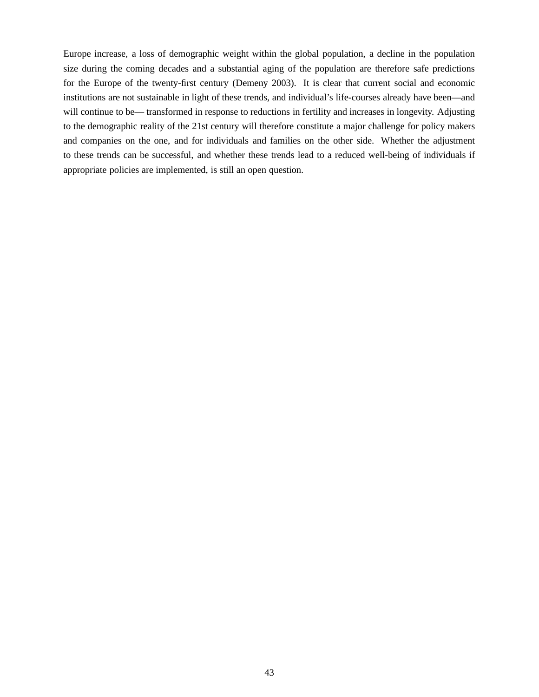Europe increase, a loss of demographic weight within the global population, a decline in the population size during the coming decades and a substantial aging of the population are therefore safe predictions for the Europe of the twenty-first century (Demeny 2003). It is clear that current social and economic institutions are not sustainable in light of these trends, and individual's life-courses already have been—and will continue to be— transformed in response to reductions in fertility and increases in longevity. Adjusting to the demographic reality of the 21st century will therefore constitute a major challenge for policy makers and companies on the one, and for individuals and families on the other side. Whether the adjustment to these trends can be successful, and whether these trends lead to a reduced well-being of individuals if appropriate policies are implemented, is still an open question.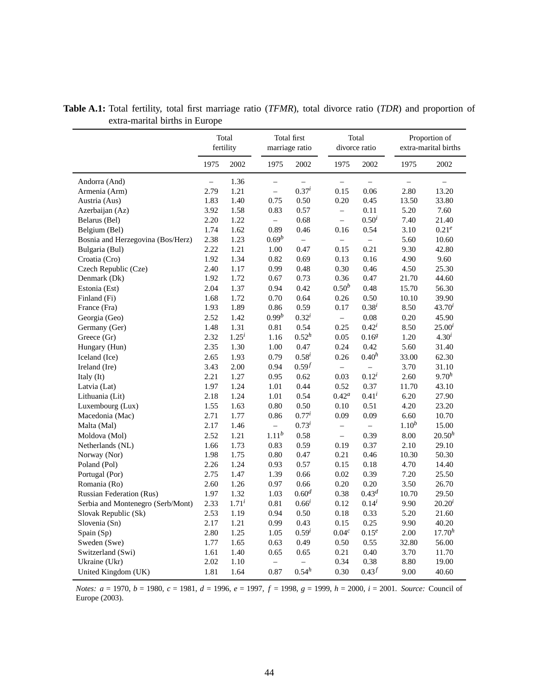|                                   |                   | Total<br>fertility |                   | Total first<br>marriage ratio |                          | Total<br>divorce ratio   |            | Proportion of<br>extra-marital births |
|-----------------------------------|-------------------|--------------------|-------------------|-------------------------------|--------------------------|--------------------------|------------|---------------------------------------|
|                                   | 1975              | 2002               | 1975              | 2002                          | 1975                     | 2002                     | 1975       | 2002                                  |
| Andorra (And)                     | $\qquad \qquad -$ | 1.36               | $\qquad \qquad -$ | $\qquad \qquad -$             | $\equiv$                 | $\qquad \qquad -$        | $\equiv$   |                                       |
| Armenia (Arm)                     | 2.79              | 1.21               | $\equiv$          | $0.37^{i}$                    | 0.15                     | 0.06                     | 2.80       | 13.20                                 |
| Austria (Aus)                     | 1.83              | 1.40               | 0.75              | 0.50                          | 0.20                     | 0.45                     | 13.50      | 33.80                                 |
| Azerbaijan (Az)                   | 3.92              | 1.58               | 0.83              | 0.57                          | $\overline{\phantom{0}}$ | 0.11                     | 5.20       | 7.60                                  |
| Belarus (Bel)                     | 2.20              | 1.22               | $\equiv$          | 0.68                          | $\equiv$                 | $0.50^{i}$               | 7.40       | 21.40                                 |
| Belgium (Bel)                     | 1.74              | 1.62               | 0.89              | 0.46                          | 0.16                     | 0.54                     | 3.10       | $0.21^e$                              |
| Bosnia and Herzegovina (Bos/Herz) | 2.38              | 1.23               | $0.69^{b}$        | $\equiv$                      | $\equiv$                 | $\equiv$                 | 5.60       | 10.60                                 |
| Bulgaria (Bul)                    | 2.22              | 1.21               | 1.00              | 0.47                          | 0.15                     | 0.21                     | 9.30       | 42.80                                 |
| Croatia (Cro)                     | 1.92              | 1.34               | 0.82              | 0.69                          | 0.13                     | 0.16                     | 4.90       | 9.60                                  |
| Czech Republic (Cze)              | 2.40              | 1.17               | 0.99              | 0.48                          | 0.30                     | 0.46                     | 4.50       | 25.30                                 |
| Denmark (Dk)                      | 1.92              | 1.72               | 0.67              | 0.73                          | 0.36                     | 0.47                     | 21.70      | 44.60                                 |
| Estonia (Est)                     | 2.04              | 1.37               | 0.94              | 0.42                          | $0.50^{b}$               | 0.48                     | 15.70      | 56.30                                 |
| Finland (Fi)                      | 1.68              | 1.72               | 0.70              | 0.64                          | 0.26                     | 0.50                     | 10.10      | 39.90                                 |
| France (Fra)                      | 1.93              | 1.89               | 0.86              | 0.59                          | 0.17                     | $0.38^{i}$               | 8.50       | $43.70^{i}$                           |
| Georgia (Geo)                     | 2.52              | 1.42               | $0.99^b$          | $0.32^{i}$                    | $\equiv$                 | 0.08                     | 0.20       | 45.90                                 |
| Germany (Ger)                     | 1.48              | 1.31               | 0.81              | 0.54                          | 0.25                     | $0.42^{i}$               | 8.50       | $25.00^{i}$                           |
| Greece (Gr)                       | 2.32              | $1.25^{i}$         | 1.16              | $0.52^{h}$                    | 0.05                     | $0.16^{g}$               | 1.20       | $4.30^{i}$                            |
| Hungary (Hun)                     | 2.35              | 1.30               | 1.00              | 0.47                          | 0.24                     | 0.42                     | 5.60       | 31.40                                 |
| Iceland (Ice)                     | 2.65              | 1.93               | 0.79              | $0.58^{i}$                    | 0.26                     | $0.40^{h}$               | 33.00      | 62.30                                 |
| Ireland (Ire)                     | 3.43              | 2.00               | 0.94              | $0.59^{f}$                    | $\equiv$                 | $\overline{\phantom{m}}$ | 3.70       | 31.10                                 |
| Italy (It)                        | 2.21              | 1.27               | 0.95              | 0.62                          | 0.03                     | $0.12^{i}$               | 2.60       | $9.70^{h}$                            |
| Latvia (Lat)                      | 1.97              | 1.24               | 1.01              | 0.44                          | 0.52                     | 0.37                     | 11.70      | 43.10                                 |
| Lithuania (Lit)                   | 2.18              | 1.24               | 1.01              | 0.54                          | $0.42^a$                 | $0.41^{i}$               | 6.20       | 27.90                                 |
| Luxembourg (Lux)                  | 1.55              | 1.63               | 0.80              | 0.50                          | 0.10                     | 0.51                     | 4.20       | 23.20                                 |
| Macedonia (Mac)                   | 2.71              | 1.77               | 0.86              | $0.77^{i}$                    | 0.09                     | 0.09                     | 6.60       | 10.70                                 |
| Malta (Mal)                       | 2.17              | 1.46               | $\equiv$          | $0.73^{i}$                    | $\equiv$                 | $\equiv$                 | $1.10^{b}$ | 15.00                                 |
| Moldova (Mol)                     | 2.52              | 1.21               | $1.11^{b}$        | 0.58                          | $\equiv$                 | 0.39                     | 8.00       | $20.50^{h}$                           |
| Netherlands (NL)                  | 1.66              | 1.73               | 0.83              | 0.59                          | 0.19                     | 0.37                     | 2.10       | 29.10                                 |
| Norway (Nor)                      | 1.98              | 1.75               | 0.80              | 0.47                          | 0.21                     | 0.46                     | 10.30      | 50.30                                 |
| Poland (Pol)                      | 2.26              | 1.24               | 0.93              | 0.57                          | 0.15                     | 0.18                     | 4.70       | 14.40                                 |
| Portugal (Por)                    | 2.75              | 1.47               | 1.39              | 0.66                          | 0.02                     | 0.39                     | 7.20       | 25.50                                 |
| Romania (Ro)                      | 2.60              | 1.26               | 0.97              | 0.66                          | 0.20                     | 0.20                     | 3.50       | 26.70                                 |
| Russian Federation (Rus)          | 1.97              | 1.32               | 1.03              | $0.60^{d}$                    | 0.38                     | $0.43^{d}$               | 10.70      | 29.50                                 |
| Serbia and Montenegro (Serb/Mont) | 2.33              | $1.71^{i}$         | 0.81              | $0.66^{i}$                    | 0.12                     | $0.14^{i}$               | 9.90       | $20.20^{i}$                           |
| Slovak Republic (Sk)              | 2.53              | 1.19               | 0.94              | 0.50                          | 0.18                     | 0.33                     | 5.20       | 21.60                                 |
| Slovenia (Sn)                     | 2.17              | 1.21               | 0.99              | 0.43                          | 0.15                     | 0.25                     | 9.90       | 40.20                                 |
| Spain (Sp)                        | 2.80              | 1.25               | 1.05              | $0.59^{i}$                    | 0.04 <sup>c</sup>        | $0.15^{e}$               | 2.00       | $17.70^{h}$                           |
| Sweden (Swe)                      | 1.77              | 1.65               | 0.63              | 0.49                          | 0.50                     | 0.55                     | 32.80      | 56.00                                 |
| Switzerland (Swi)                 | 1.61              | 1.40               | 0.65              | 0.65                          | 0.21                     | 0.40                     | 3.70       | 11.70                                 |
| Ukraine (Ukr)                     | 2.02              | 1.10               | $\qquad \qquad -$ | $\equiv$                      | 0.34                     | 0.38                     | 8.80       | 19.00                                 |
| United Kingdom (UK)               | 1.81              | 1.64               | 0.87              | $0.54^h$                      | 0.30                     | $0.43^{f}$               | 9.00       | 40.60                                 |

**Table A.1:** Total fertility, total first marriage ratio (*TFMR*), total divorce ratio (*TDR*) and proportion of extra-marital births in Europe

*Notes: a* = 1970, *b* = 1980, *c* = 1981, *d* = 1996, *e* = 1997, *f* = 1998, *g* = 1999, *h* = 2000, *i* = 2001. *Source:* Council of Europe (2003).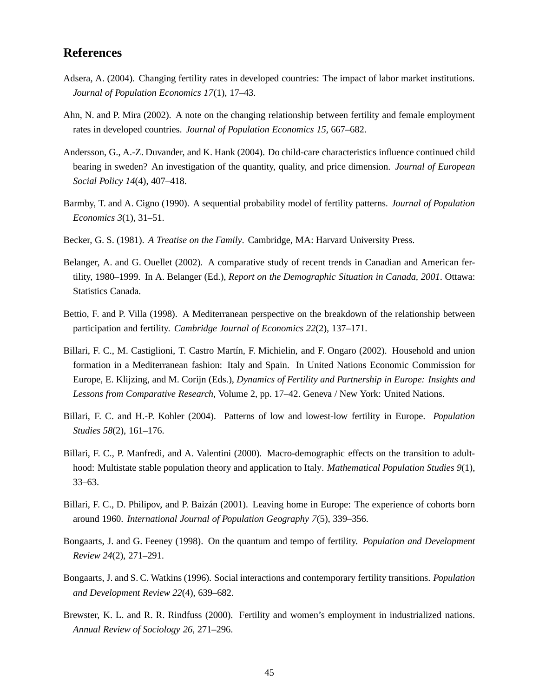### **References**

- Adsera, A. (2004). Changing fertility rates in developed countries: The impact of labor market institutions. *Journal of Population Economics 17*(1), 17–43.
- Ahn, N. and P. Mira (2002). A note on the changing relationship between fertility and female employment rates in developed countries. *Journal of Population Economics 15*, 667–682.
- Andersson, G., A.-Z. Duvander, and K. Hank (2004). Do child-care characteristics influence continued child bearing in sweden? An investigation of the quantity, quality, and price dimension. *Journal of European Social Policy 14*(4), 407–418.
- Barmby, T. and A. Cigno (1990). A sequential probability model of fertility patterns. *Journal of Population Economics 3*(1), 31–51.
- Becker, G. S. (1981). *A Treatise on the Family*. Cambridge, MA: Harvard University Press.
- Belanger, A. and G. Ouellet (2002). A comparative study of recent trends in Canadian and American fertility, 1980–1999. In A. Belanger (Ed.), *Report on the Demographic Situation in Canada, 2001*. Ottawa: Statistics Canada.
- Bettio, F. and P. Villa (1998). A Mediterranean perspective on the breakdown of the relationship between participation and fertility. *Cambridge Journal of Economics 22*(2), 137–171.
- Billari, F. C., M. Castiglioni, T. Castro Martín, F. Michielin, and F. Ongaro (2002). Household and union formation in a Mediterranean fashion: Italy and Spain. In United Nations Economic Commission for Europe, E. Klijzing, and M. Corijn (Eds.), *Dynamics of Fertility and Partnership in Europe: Insights and Lessons from Comparative Research*, Volume 2, pp. 17–42. Geneva / New York: United Nations.
- Billari, F. C. and H.-P. Kohler (2004). Patterns of low and lowest-low fertility in Europe. *Population Studies 58*(2), 161–176.
- Billari, F. C., P. Manfredi, and A. Valentini (2000). Macro-demographic effects on the transition to adulthood: Multistate stable population theory and application to Italy. *Mathematical Population Studies 9*(1), 33–63.
- Billari, F. C., D. Philipov, and P. Baizán (2001). Leaving home in Europe: The experience of cohorts born around 1960. *International Journal of Population Geography 7*(5), 339–356.
- Bongaarts, J. and G. Feeney (1998). On the quantum and tempo of fertility. *Population and Development Review 24*(2), 271–291.
- Bongaarts, J. and S. C. Watkins (1996). Social interactions and contemporary fertility transitions. *Population and Development Review 22*(4), 639–682.
- Brewster, K. L. and R. R. Rindfuss (2000). Fertility and women's employment in industrialized nations. *Annual Review of Sociology 26*, 271–296.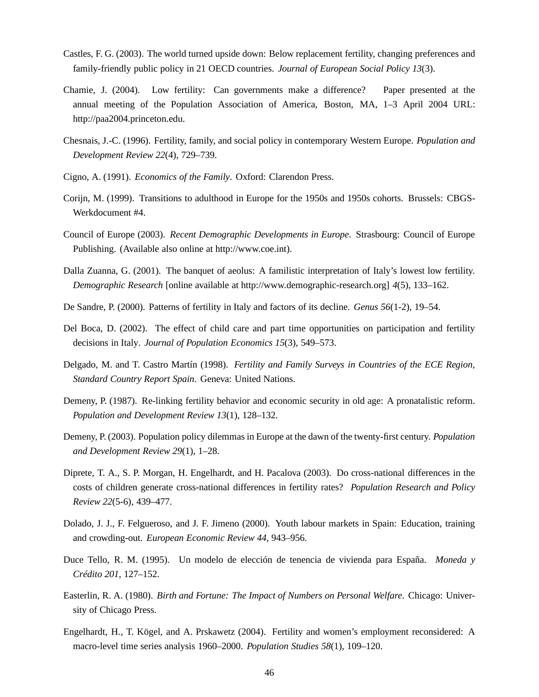- Castles, F. G. (2003). The world turned upside down: Below replacement fertility, changing preferences and family-friendly public policy in 21 OECD countries. *Journal of European Social Policy 13*(3).
- Chamie, J. (2004). Low fertility: Can governments make a difference? Paper presented at the annual meeting of the Population Association of America, Boston, MA, 1–3 April 2004 URL: http://paa2004.princeton.edu.
- Chesnais, J.-C. (1996). Fertility, family, and social policy in contemporary Western Europe. *Population and Development Review 22*(4), 729–739.
- Cigno, A. (1991). *Economics of the Family*. Oxford: Clarendon Press.
- Corijn, M. (1999). Transitions to adulthood in Europe for the 1950s and 1950s cohorts. Brussels: CBGS-Werkdocument #4.
- Council of Europe (2003). *Recent Demographic Developments in Europe*. Strasbourg: Council of Europe Publishing. (Available also online at http://www.coe.int).
- Dalla Zuanna, G. (2001). The banquet of aeolus: A familistic interpretation of Italy's lowest low fertility. *Demographic Research* [online available at http://www.demographic-research.org] *4*(5), 133–162.
- De Sandre, P. (2000). Patterns of fertility in Italy and factors of its decline. *Genus 56*(1-2), 19–54.
- Del Boca, D. (2002). The effect of child care and part time opportunities on participation and fertility decisions in Italy. *Journal of Population Economics 15*(3), 549–573.
- Delgado, M. and T. Castro Martín (1998). *Fertility and Family Surveys in Countries of the ECE Region, Standard Country Report Spain*. Geneva: United Nations.
- Demeny, P. (1987). Re-linking fertility behavior and economic security in old age: A pronatalistic reform. *Population and Development Review 13*(1), 128–132.
- Demeny, P. (2003). Population policy dilemmas in Europe at the dawn of the twenty-first century. *Population and Development Review 29*(1), 1–28.
- Diprete, T. A., S. P. Morgan, H. Engelhardt, and H. Pacalova (2003). Do cross-national differences in the costs of children generate cross-national differences in fertility rates? *Population Research and Policy Review 22*(5-6), 439–477.
- Dolado, J. J., F. Felgueroso, and J. F. Jimeno (2000). Youth labour markets in Spain: Education, training and crowding-out. *European Economic Review 44*, 943–956.
- Duce Tello, R. M. (1995). Un modelo de elección de tenencia de vivienda para España. *Moneda y Crédito 201*, 127–152.
- Easterlin, R. A. (1980). *Birth and Fortune: The Impact of Numbers on Personal Welfare*. Chicago: University of Chicago Press.
- Engelhardt, H., T. Kögel, and A. Prskawetz (2004). Fertility and women's employment reconsidered: A macro-level time series analysis 1960–2000. *Population Studies 58*(1), 109–120.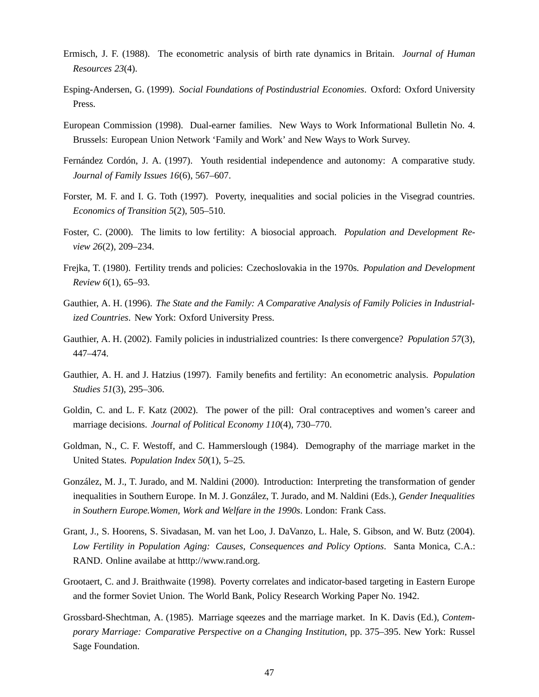- Ermisch, J. F. (1988). The econometric analysis of birth rate dynamics in Britain. *Journal of Human Resources 23*(4).
- Esping-Andersen, G. (1999). *Social Foundations of Postindustrial Economies*. Oxford: Oxford University Press.
- European Commission (1998). Dual-earner families. New Ways to Work Informational Bulletin No. 4. Brussels: European Union Network 'Family and Work' and New Ways to Work Survey.
- Fernández Cordón, J. A. (1997). Youth residential independence and autonomy: A comparative study. *Journal of Family Issues 16*(6), 567–607.
- Forster, M. F. and I. G. Toth (1997). Poverty, inequalities and social policies in the Visegrad countries. *Economics of Transition 5*(2), 505–510.
- Foster, C. (2000). The limits to low fertility: A biosocial approach. *Population and Development Review 26*(2), 209–234.
- Frejka, T. (1980). Fertility trends and policies: Czechoslovakia in the 1970s. *Population and Development Review 6*(1), 65–93.
- Gauthier, A. H. (1996). *The State and the Family: A Comparative Analysis of Family Policies in Industrialized Countries*. New York: Oxford University Press.
- Gauthier, A. H. (2002). Family policies in industrialized countries: Is there convergence? *Population 57*(3), 447–474.
- Gauthier, A. H. and J. Hatzius (1997). Family benefits and fertility: An econometric analysis. *Population Studies 51*(3), 295–306.
- Goldin, C. and L. F. Katz (2002). The power of the pill: Oral contraceptives and women's career and marriage decisions. *Journal of Political Economy 110*(4), 730–770.
- Goldman, N., C. F. Westoff, and C. Hammerslough (1984). Demography of the marriage market in the United States. *Population Index 50*(1), 5–25.
- González, M. J., T. Jurado, and M. Naldini (2000). Introduction: Interpreting the transformation of gender inequalities in Southern Europe. In M. J. González, T. Jurado, and M. Naldini (Eds.), *Gender Inequalities in Southern Europe.Women, Work and Welfare in the 1990s*. London: Frank Cass.
- Grant, J., S. Hoorens, S. Sivadasan, M. van het Loo, J. DaVanzo, L. Hale, S. Gibson, and W. Butz (2004). *Low Fertility in Population Aging: Causes, Consequences and Policy Options*. Santa Monica, C.A.: RAND. Online availabe at htttp://www.rand.org.
- Grootaert, C. and J. Braithwaite (1998). Poverty correlates and indicator-based targeting in Eastern Europe and the former Soviet Union. The World Bank, Policy Research Working Paper No. 1942.
- Grossbard-Shechtman, A. (1985). Marriage sqeezes and the marriage market. In K. Davis (Ed.), *Contemporary Marriage: Comparative Perspective on a Changing Institution*, pp. 375–395. New York: Russel Sage Foundation.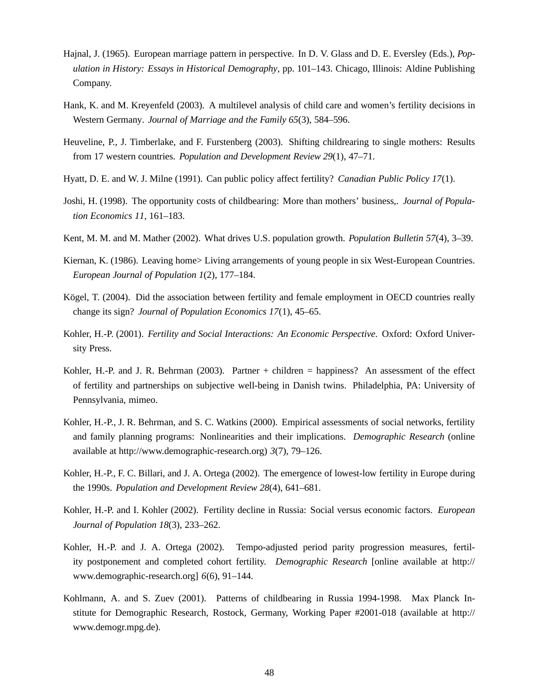- Hajnal, J. (1965). European marriage pattern in perspective. In D. V. Glass and D. E. Eversley (Eds.), *Population in History: Essays in Historical Demography*, pp. 101–143. Chicago, Illinois: Aldine Publishing Company.
- Hank, K. and M. Kreyenfeld (2003). A multilevel analysis of child care and women's fertility decisions in Western Germany. *Journal of Marriage and the Family 65*(3), 584–596.
- Heuveline, P., J. Timberlake, and F. Furstenberg (2003). Shifting childrearing to single mothers: Results from 17 western countries. *Population and Development Review 29*(1), 47–71.
- Hyatt, D. E. and W. J. Milne (1991). Can public policy affect fertility? *Canadian Public Policy 17*(1).
- Joshi, H. (1998). The opportunity costs of childbearing: More than mothers' business,. *Journal of Population Economics 11*, 161–183.
- Kent, M. M. and M. Mather (2002). What drives U.S. population growth. *Population Bulletin 57*(4), 3–39.
- Kiernan, K. (1986). Leaving home> Living arrangements of young people in six West-European Countries. *European Journal of Population 1*(2), 177–184.
- Kögel, T. (2004). Did the association between fertility and female employment in OECD countries really change its sign? *Journal of Population Economics 17*(1), 45–65.
- Kohler, H.-P. (2001). *Fertility and Social Interactions: An Economic Perspective*. Oxford: Oxford University Press.
- Kohler, H.-P. and J. R. Behrman (2003). Partner + children = happiness? An assessment of the effect of fertility and partnerships on subjective well-being in Danish twins. Philadelphia, PA: University of Pennsylvania, mimeo.
- Kohler, H.-P., J. R. Behrman, and S. C. Watkins (2000). Empirical assessments of social networks, fertility and family planning programs: Nonlinearities and their implications. *Demographic Research* (online available at http://www.demographic-research.org) *3*(7), 79–126.
- Kohler, H.-P., F. C. Billari, and J. A. Ortega (2002). The emergence of lowest-low fertility in Europe during the 1990s. *Population and Development Review 28*(4), 641–681.
- Kohler, H.-P. and I. Kohler (2002). Fertility decline in Russia: Social versus economic factors. *European Journal of Population 18*(3), 233–262.
- Kohler, H.-P. and J. A. Ortega (2002). Tempo-adjusted period parity progression measures, fertility postponement and completed cohort fertility. *Demographic Research* [online available at http:// www.demographic-research.org] *6*(6), 91–144.
- Kohlmann, A. and S. Zuev (2001). Patterns of childbearing in Russia 1994-1998. Max Planck Institute for Demographic Research, Rostock, Germany, Working Paper #2001-018 (available at http:// www.demogr.mpg.de).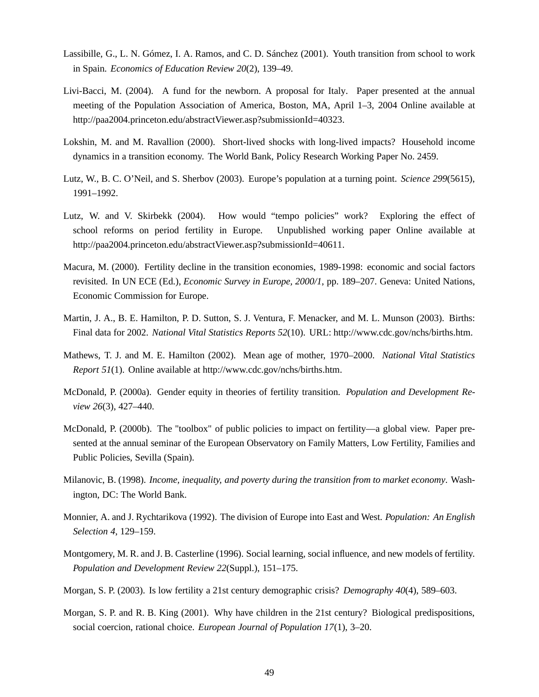- Lassibille, G., L. N. Gómez, I. A. Ramos, and C. D. Sánchez (2001). Youth transition from school to work in Spain. *Economics of Education Review 20*(2), 139–49.
- Livi-Bacci, M. (2004). A fund for the newborn. A proposal for Italy. Paper presented at the annual meeting of the Population Association of America, Boston, MA, April 1–3, 2004 Online available at http://paa2004.princeton.edu/abstractViewer.asp?submissionId=40323.
- Lokshin, M. and M. Ravallion (2000). Short-lived shocks with long-lived impacts? Household income dynamics in a transition economy. The World Bank, Policy Research Working Paper No. 2459.
- Lutz, W., B. C. O'Neil, and S. Sherbov (2003). Europe's population at a turning point. *Science 299*(5615), 1991–1992.
- Lutz, W. and V. Skirbekk (2004). How would "tempo policies" work? Exploring the effect of school reforms on period fertility in Europe. Unpublished working paper Online available at http://paa2004.princeton.edu/abstractViewer.asp?submissionId=40611.
- Macura, M. (2000). Fertility decline in the transition economies, 1989-1998: economic and social factors revisited. In UN ECE (Ed.), *Economic Survey in Europe, 2000/1*, pp. 189–207. Geneva: United Nations, Economic Commission for Europe.
- Martin, J. A., B. E. Hamilton, P. D. Sutton, S. J. Ventura, F. Menacker, and M. L. Munson (2003). Births: Final data for 2002. *National Vital Statistics Reports 52*(10). URL: http://www.cdc.gov/nchs/births.htm.
- Mathews, T. J. and M. E. Hamilton (2002). Mean age of mother, 1970–2000. *National Vital Statistics Report 51*(1). Online available at http://www.cdc.gov/nchs/births.htm.
- McDonald, P. (2000a). Gender equity in theories of fertility transition. *Population and Development Review 26*(3), 427–440.
- McDonald, P. (2000b). The "toolbox" of public policies to impact on fertility—a global view. Paper presented at the annual seminar of the European Observatory on Family Matters, Low Fertility, Families and Public Policies, Sevilla (Spain).
- Milanovic, B. (1998). *Income, inequality, and poverty during the transition from to market economy*. Washington, DC: The World Bank.
- Monnier, A. and J. Rychtarikova (1992). The division of Europe into East and West. *Population: An English Selection 4*, 129–159.
- Montgomery, M. R. and J. B. Casterline (1996). Social learning, social influence, and new models of fertility. *Population and Development Review 22*(Suppl.), 151–175.
- Morgan, S. P. (2003). Is low fertility a 21st century demographic crisis? *Demography 40*(4), 589–603.
- Morgan, S. P. and R. B. King (2001). Why have children in the 21st century? Biological predispositions, social coercion, rational choice. *European Journal of Population 17*(1), 3–20.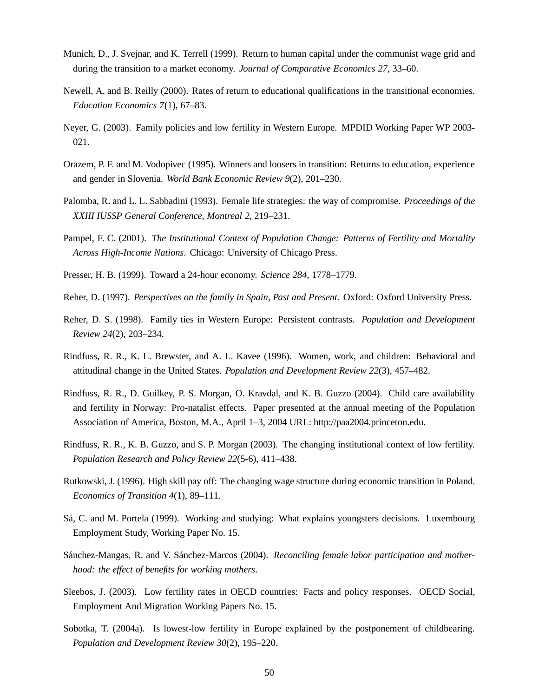- Munich, D., J. Svejnar, and K. Terrell (1999). Return to human capital under the communist wage grid and during the transition to a market economy. *Journal of Comparative Economics 27*, 33–60.
- Newell, A. and B. Reilly (2000). Rates of return to educational qualifications in the transitional economies. *Education Economics 7*(1), 67–83.
- Neyer, G. (2003). Family policies and low fertility in Western Europe. MPDID Working Paper WP 2003- 021.
- Orazem, P. F. and M. Vodopivec (1995). Winners and loosers in transition: Returns to education, experience and gender in Slovenia. *World Bank Economic Review 9*(2), 201–230.
- Palomba, R. and L. L. Sabbadini (1993). Female life strategies: the way of compromise. *Proceedings of the XXIII IUSSP General Conference, Montreal 2*, 219–231.
- Pampel, F. C. (2001). *The Institutional Context of Population Change: Patterns of Fertility and Mortality Across High-Income Nations*. Chicago: University of Chicago Press.
- Presser, H. B. (1999). Toward a 24-hour economy. *Science 284*, 1778–1779.
- Reher, D. (1997). *Perspectives on the family in Spain, Past and Present.* Oxford: Oxford University Press.
- Reher, D. S. (1998). Family ties in Western Europe: Persistent contrasts. *Population and Development Review 24*(2), 203–234.
- Rindfuss, R. R., K. L. Brewster, and A. L. Kavee (1996). Women, work, and children: Behavioral and attitudinal change in the United States. *Population and Development Review 22*(3), 457–482.
- Rindfuss, R. R., D. Guilkey, P. S. Morgan, O. Kravdal, and K. B. Guzzo (2004). Child care availability and fertility in Norway: Pro-natalist effects. Paper presented at the annual meeting of the Population Association of America, Boston, M.A., April 1–3, 2004 URL: http://paa2004.princeton.edu.
- Rindfuss, R. R., K. B. Guzzo, and S. P. Morgan (2003). The changing institutional context of low fertility. *Population Research and Policy Review 22*(5-6), 411–438.
- Rutkowski, J. (1996). High skill pay off: The changing wage structure during economic transition in Poland. *Economics of Transition 4*(1), 89–111.
- Sá, C. and M. Portela (1999). Working and studying: What explains youngsters decisions. Luxembourg Employment Study, Working Paper No. 15.
- Sánchez-Mangas, R. and V. Sánchez-Marcos (2004). *Reconciling female labor participation and motherhood: the effect of benefits for working mothers*.
- Sleebos, J. (2003). Low fertility rates in OECD countries: Facts and policy responses. OECD Social, Employment And Migration Working Papers No. 15.
- Sobotka, T. (2004a). Is lowest-low fertility in Europe explained by the postponement of childbearing. *Population and Development Review 30*(2), 195–220.